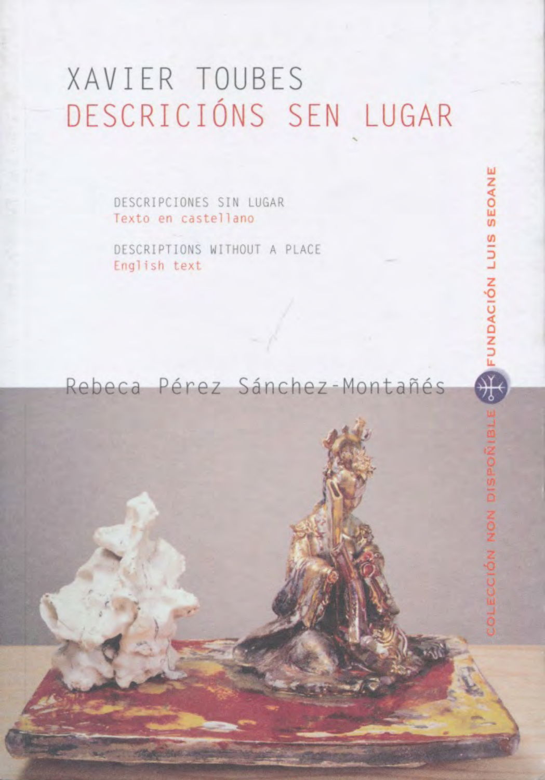# XAVIER TOUBES DESCRICIÓNS SEN LUGAR

DESCRIPCIONES SIN LUGAR Texto en castellano

DESCRIPTIONS WITHOUT A PLACE English text

### Rebeca Pérez Sánchez-Montañés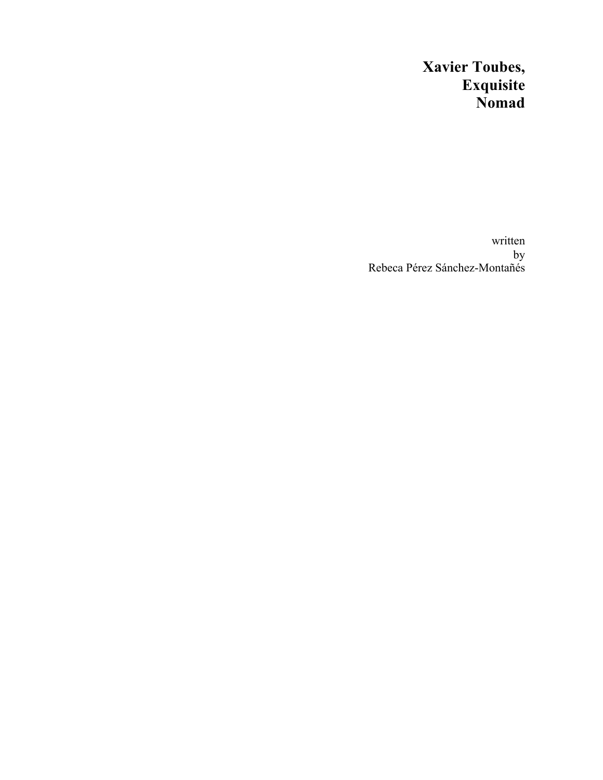## **Xavier Toubes, Exquisite Nomad**

written by Rebeca Pérez Sánchez-Montañés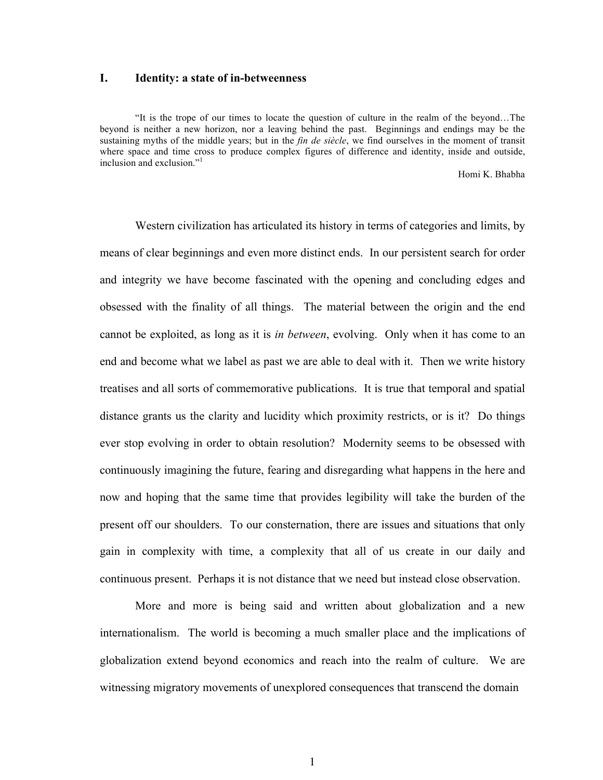#### **I. Identity: a state of in-betweenness**

"It is the trope of our times to locate the question of culture in the realm of the beyond…The beyond is neither a new horizon, nor a leaving behind the past. Beginnings and endings may be the sustaining myths of the middle years; but in the *fin de siècle*, we find ourselves in the moment of transit where space and time cross to produce complex figures of difference and identity, inside and outside, inclusion and exclusion."<sup>1</sup>

Homi K. Bhabha

 Western civilization has articulated its history in terms of categories and limits, by means of clear beginnings and even more distinct ends. In our persistent search for order and integrity we have become fascinated with the opening and concluding edges and obsessed with the finality of all things. The material between the origin and the end cannot be exploited, as long as it is *in between*, evolving. Only when it has come to an end and become what we label as past we are able to deal with it. Then we write history treatises and all sorts of commemorative publications. It is true that temporal and spatial distance grants us the clarity and lucidity which proximity restricts, or is it? Do things ever stop evolving in order to obtain resolution? Modernity seems to be obsessed with continuously imagining the future, fearing and disregarding what happens in the here and now and hoping that the same time that provides legibility will take the burden of the present off our shoulders. To our consternation, there are issues and situations that only gain in complexity with time, a complexity that all of us create in our daily and continuous present. Perhaps it is not distance that we need but instead close observation.

More and more is being said and written about globalization and a new internationalism. The world is becoming a much smaller place and the implications of globalization extend beyond economics and reach into the realm of culture. We are witnessing migratory movements of unexplored consequences that transcend the domain

1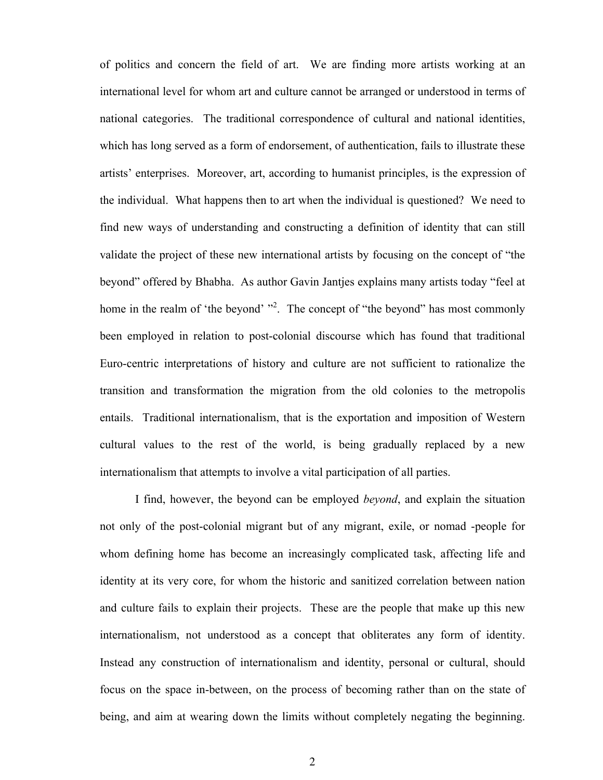of politics and concern the field of art. We are finding more artists working at an international level for whom art and culture cannot be arranged or understood in terms of national categories. The traditional correspondence of cultural and national identities, which has long served as a form of endorsement, of authentication, fails to illustrate these artists' enterprises. Moreover, art, according to humanist principles, is the expression of the individual. What happens then to art when the individual is questioned? We need to find new ways of understanding and constructing a definition of identity that can still validate the project of these new international artists by focusing on the concept of "the beyond" offered by Bhabha. As author Gavin Jantjes explains many artists today "feel at home in the realm of 'the beyond' "<sup>2</sup>. The concept of "the beyond" has most commonly been employed in relation to post-colonial discourse which has found that traditional Euro-centric interpretations of history and culture are not sufficient to rationalize the transition and transformation the migration from the old colonies to the metropolis entails. Traditional internationalism, that is the exportation and imposition of Western cultural values to the rest of the world, is being gradually replaced by a new internationalism that attempts to involve a vital participation of all parties.

I find, however, the beyond can be employed *beyond*, and explain the situation not only of the post-colonial migrant but of any migrant, exile, or nomad -people for whom defining home has become an increasingly complicated task, affecting life and identity at its very core, for whom the historic and sanitized correlation between nation and culture fails to explain their projects. These are the people that make up this new internationalism, not understood as a concept that obliterates any form of identity. Instead any construction of internationalism and identity, personal or cultural, should focus on the space in-between, on the process of becoming rather than on the state of being, and aim at wearing down the limits without completely negating the beginning.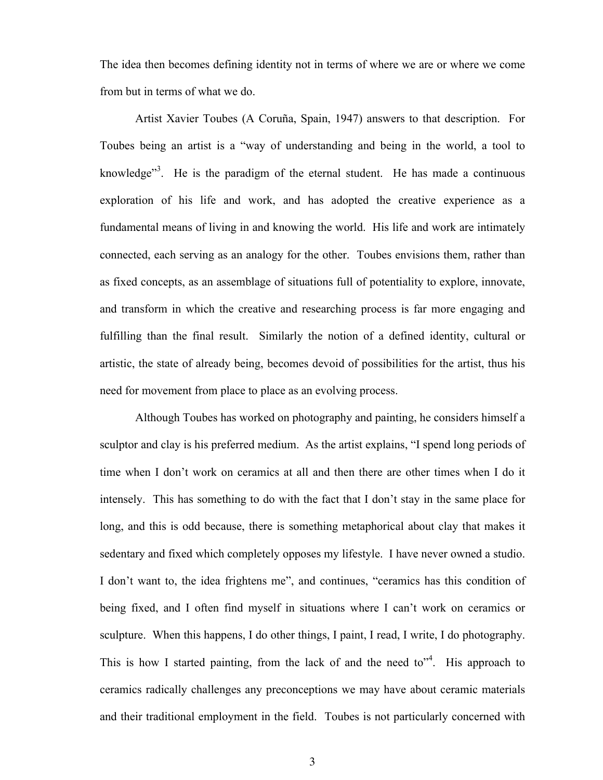The idea then becomes defining identity not in terms of where we are or where we come from but in terms of what we do.

Artist Xavier Toubes (A Coruña, Spain, 1947) answers to that description. For Toubes being an artist is a "way of understanding and being in the world, a tool to knowledge<sup> $3$ .</sup> He is the paradigm of the eternal student. He has made a continuous exploration of his life and work, and has adopted the creative experience as a fundamental means of living in and knowing the world. His life and work are intimately connected, each serving as an analogy for the other. Toubes envisions them, rather than as fixed concepts, as an assemblage of situations full of potentiality to explore, innovate, and transform in which the creative and researching process is far more engaging and fulfilling than the final result. Similarly the notion of a defined identity, cultural or artistic, the state of already being, becomes devoid of possibilities for the artist, thus his need for movement from place to place as an evolving process.

Although Toubes has worked on photography and painting, he considers himself a sculptor and clay is his preferred medium. As the artist explains, "I spend long periods of time when I don't work on ceramics at all and then there are other times when I do it intensely. This has something to do with the fact that I don't stay in the same place for long, and this is odd because, there is something metaphorical about clay that makes it sedentary and fixed which completely opposes my lifestyle. I have never owned a studio. I don't want to, the idea frightens me", and continues, "ceramics has this condition of being fixed, and I often find myself in situations where I can't work on ceramics or sculpture. When this happens, I do other things, I paint, I read, I write, I do photography. This is how I started painting, from the lack of and the need to<sup> $n^4$ </sup>. His approach to ceramics radically challenges any preconceptions we may have about ceramic materials and their traditional employment in the field. Toubes is not particularly concerned with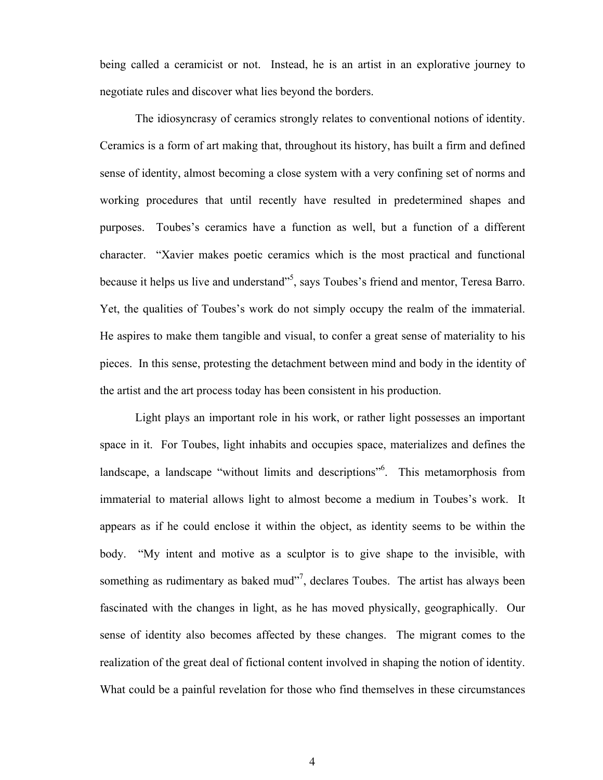being called a ceramicist or not. Instead, he is an artist in an explorative journey to negotiate rules and discover what lies beyond the borders.

The idiosyncrasy of ceramics strongly relates to conventional notions of identity. Ceramics is a form of art making that, throughout its history, has built a firm and defined sense of identity, almost becoming a close system with a very confining set of norms and working procedures that until recently have resulted in predetermined shapes and purposes. Toubes's ceramics have a function as well, but a function of a different character. "Xavier makes poetic ceramics which is the most practical and functional because it helps us live and understand"<sup>5</sup>, says Toubes's friend and mentor, Teresa Barro. Yet, the qualities of Toubes's work do not simply occupy the realm of the immaterial. He aspires to make them tangible and visual, to confer a great sense of materiality to his pieces. In this sense, protesting the detachment between mind and body in the identity of the artist and the art process today has been consistent in his production.

Light plays an important role in his work, or rather light possesses an important space in it. For Toubes, light inhabits and occupies space, materializes and defines the landscape, a landscape "without limits and descriptions"<sup>6</sup>. This metamorphosis from immaterial to material allows light to almost become a medium in Toubes's work. It appears as if he could enclose it within the object, as identity seems to be within the body. "My intent and motive as a sculptor is to give shape to the invisible, with something as rudimentary as baked mud $^{37}$ , declares Toubes. The artist has always been fascinated with the changes in light, as he has moved physically, geographically. Our sense of identity also becomes affected by these changes. The migrant comes to the realization of the great deal of fictional content involved in shaping the notion of identity. What could be a painful revelation for those who find themselves in these circumstances

4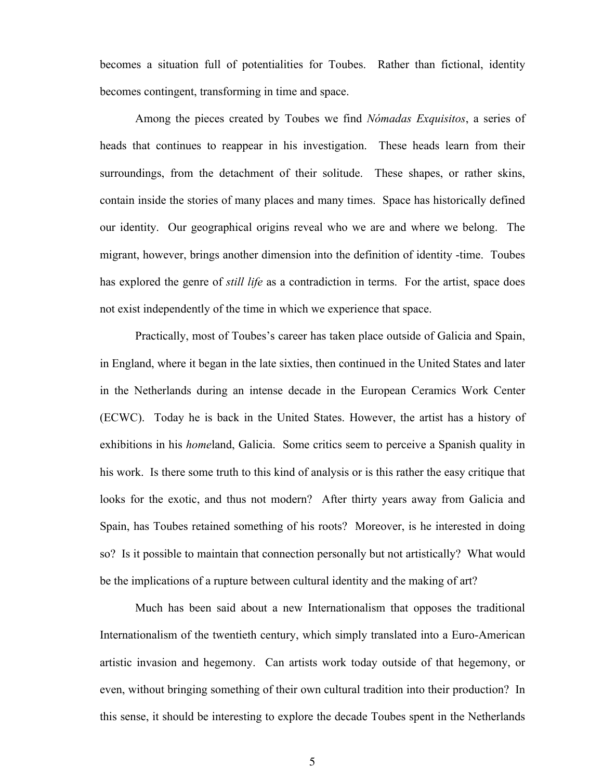becomes a situation full of potentialities for Toubes. Rather than fictional, identity becomes contingent, transforming in time and space.

Among the pieces created by Toubes we find *Nómadas Exquisitos*, a series of heads that continues to reappear in his investigation. These heads learn from their surroundings, from the detachment of their solitude. These shapes, or rather skins, contain inside the stories of many places and many times. Space has historically defined our identity. Our geographical origins reveal who we are and where we belong. The migrant, however, brings another dimension into the definition of identity -time. Toubes has explored the genre of *still life* as a contradiction in terms. For the artist, space does not exist independently of the time in which we experience that space.

Practically, most of Toubes's career has taken place outside of Galicia and Spain, in England, where it began in the late sixties, then continued in the United States and later in the Netherlands during an intense decade in the European Ceramics Work Center (ECWC). Today he is back in the United States. However, the artist has a history of exhibitions in his *home*land, Galicia. Some critics seem to perceive a Spanish quality in his work. Is there some truth to this kind of analysis or is this rather the easy critique that looks for the exotic, and thus not modern? After thirty years away from Galicia and Spain, has Toubes retained something of his roots? Moreover, is he interested in doing so? Is it possible to maintain that connection personally but not artistically? What would be the implications of a rupture between cultural identity and the making of art?

Much has been said about a new Internationalism that opposes the traditional Internationalism of the twentieth century, which simply translated into a Euro-American artistic invasion and hegemony. Can artists work today outside of that hegemony, or even, without bringing something of their own cultural tradition into their production? In this sense, it should be interesting to explore the decade Toubes spent in the Netherlands

5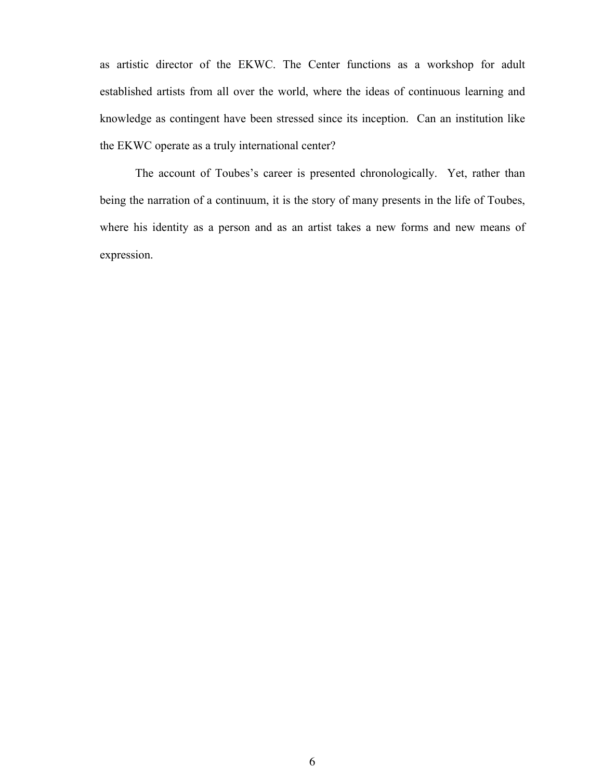as artistic director of the EKWC. The Center functions as a workshop for adult established artists from all over the world, where the ideas of continuous learning and knowledge as contingent have been stressed since its inception. Can an institution like the EKWC operate as a truly international center?

The account of Toubes's career is presented chronologically. Yet, rather than being the narration of a continuum, it is the story of many presents in the life of Toubes, where his identity as a person and as an artist takes a new forms and new means of expression.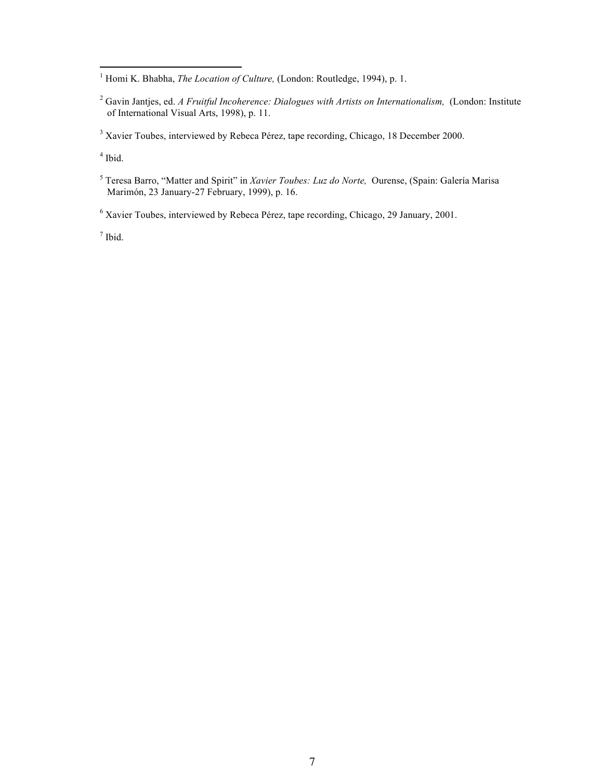<sup>1</sup> Homi K. Bhabha, *The Location of Culture*, (London: Routledge, 1994), p. 1.

<sup>2</sup> Gavin Jantjes, ed. *A Fruitful Incoherence: Dialogues with Artists on Internationalism, (London: Institute* of International Visual Arts, 1998), p. 11.

<sup>3</sup> Xavier Toubes, interviewed by Rebeca Pérez, tape recording, Chicago, 18 December 2000.

 $4$  Ibid.

l

<sup>5</sup> Teresa Barro, "Matter and Spirit" in *Xavier Toubes: Luz do Norte,* Ourense, (Spain: Galería Marisa Marimón, 23 January-27 February, 1999), p. 16.

<sup>6</sup> Xavier Toubes, interviewed by Rebeca Pérez, tape recording, Chicago, 29 January, 2001.

<sup>7</sup> Ibid.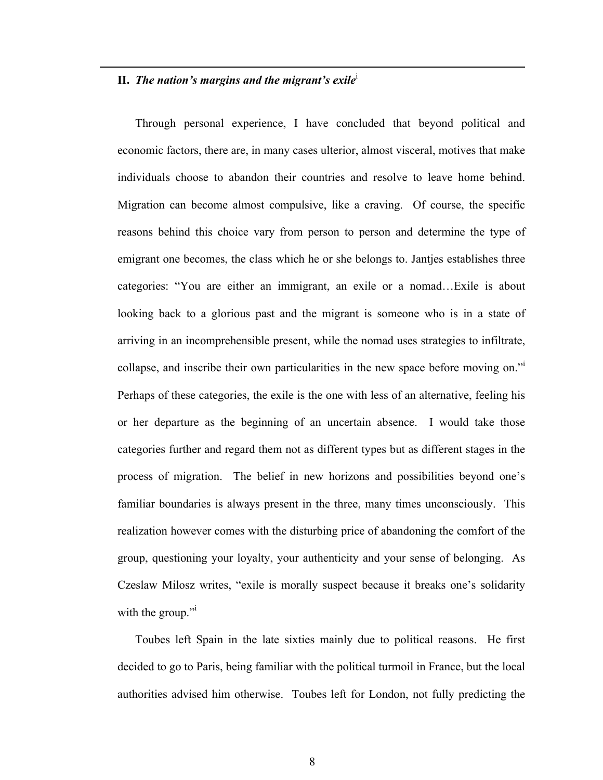#### **II.** *The nation's margins and the migrant's exile*<sup>i</sup>

l

Through personal experience, I have concluded that beyond political and economic factors, there are, in many cases ulterior, almost visceral, motives that make individuals choose to abandon their countries and resolve to leave home behind. Migration can become almost compulsive, like a craving. Of course, the specific reasons behind this choice vary from person to person and determine the type of emigrant one becomes, the class which he or she belongs to. Jantjes establishes three categories: "You are either an immigrant, an exile or a nomad…Exile is about looking back to a glorious past and the migrant is someone who is in a state of arriving in an incomprehensible present, while the nomad uses strategies to infiltrate, collapse, and inscribe their own particularities in the new space before moving on."<sup>i</sup> Perhaps of these categories, the exile is the one with less of an alternative, feeling his or her departure as the beginning of an uncertain absence. I would take those categories further and regard them not as different types but as different stages in the process of migration. The belief in new horizons and possibilities beyond one's familiar boundaries is always present in the three, many times unconsciously. This realization however comes with the disturbing price of abandoning the comfort of the group, questioning your loyalty, your authenticity and your sense of belonging. As Czeslaw Milosz writes, "exile is morally suspect because it breaks one's solidarity with the group."

Toubes left Spain in the late sixties mainly due to political reasons. He first decided to go to Paris, being familiar with the political turmoil in France, but the local authorities advised him otherwise. Toubes left for London, not fully predicting the

8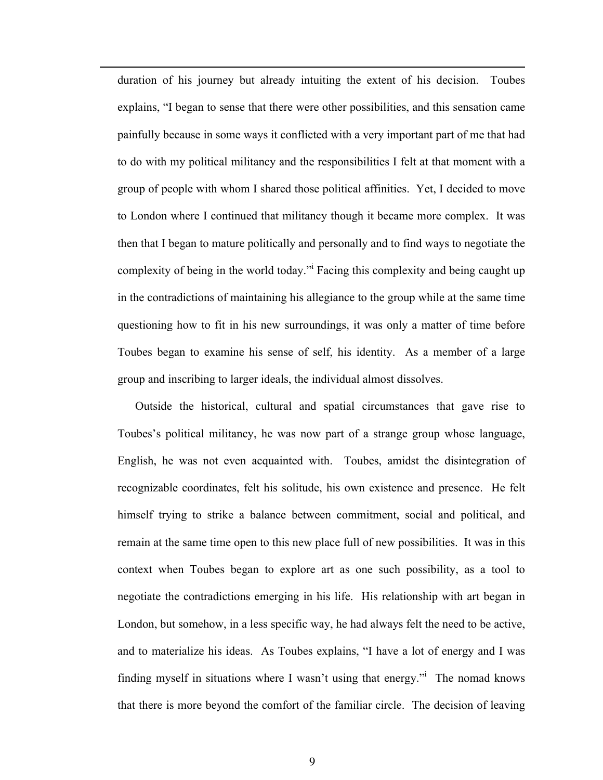duration of his journey but already intuiting the extent of his decision. Toubes explains, "I began to sense that there were other possibilities, and this sensation came painfully because in some ways it conflicted with a very important part of me that had to do with my political militancy and the responsibilities I felt at that moment with a group of people with whom I shared those political affinities. Yet, I decided to move to London where I continued that militancy though it became more complex. It was then that I began to mature politically and personally and to find ways to negotiate the complexity of being in the world today." Facing this complexity and being caught up in the contradictions of maintaining his allegiance to the group while at the same time questioning how to fit in his new surroundings, it was only a matter of time before Toubes began to examine his sense of self, his identity. As a member of a large group and inscribing to larger ideals, the individual almost dissolves.

l

Outside the historical, cultural and spatial circumstances that gave rise to Toubes's political militancy, he was now part of a strange group whose language, English, he was not even acquainted with. Toubes, amidst the disintegration of recognizable coordinates, felt his solitude, his own existence and presence. He felt himself trying to strike a balance between commitment, social and political, and remain at the same time open to this new place full of new possibilities. It was in this context when Toubes began to explore art as one such possibility, as a tool to negotiate the contradictions emerging in his life. His relationship with art began in London, but somehow, in a less specific way, he had always felt the need to be active, and to materialize his ideas. As Toubes explains, "I have a lot of energy and I was finding myself in situations where I wasn't using that energy." The nomad knows that there is more beyond the comfort of the familiar circle. The decision of leaving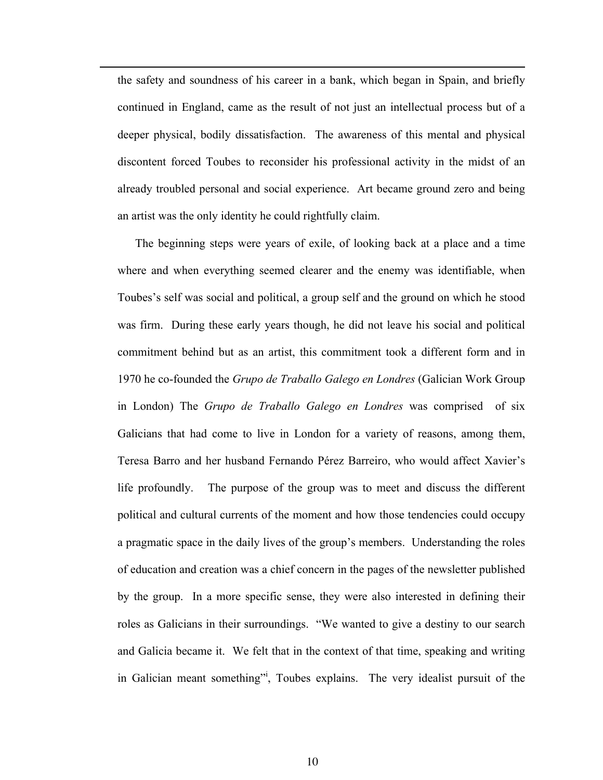the safety and soundness of his career in a bank, which began in Spain, and briefly continued in England, came as the result of not just an intellectual process but of a deeper physical, bodily dissatisfaction. The awareness of this mental and physical discontent forced Toubes to reconsider his professional activity in the midst of an already troubled personal and social experience. Art became ground zero and being an artist was the only identity he could rightfully claim.

l

The beginning steps were years of exile, of looking back at a place and a time where and when everything seemed clearer and the enemy was identifiable, when Toubes's self was social and political, a group self and the ground on which he stood was firm. During these early years though, he did not leave his social and political commitment behind but as an artist, this commitment took a different form and in 1970 he co-founded the *Grupo de Traballo Galego en Londres* (Galician Work Group in London) The *Grupo de Traballo Galego en Londres* was comprised of six Galicians that had come to live in London for a variety of reasons, among them, Teresa Barro and her husband Fernando Pérez Barreiro, who would affect Xavier's life profoundly. The purpose of the group was to meet and discuss the different political and cultural currents of the moment and how those tendencies could occupy a pragmatic space in the daily lives of the group's members. Understanding the roles of education and creation was a chief concern in the pages of the newsletter published by the group. In a more specific sense, they were also interested in defining their roles as Galicians in their surroundings. "We wanted to give a destiny to our search and Galicia became it. We felt that in the context of that time, speaking and writing in Galician meant something"<sup>i</sup>, Toubes explains. The very idealist pursuit of the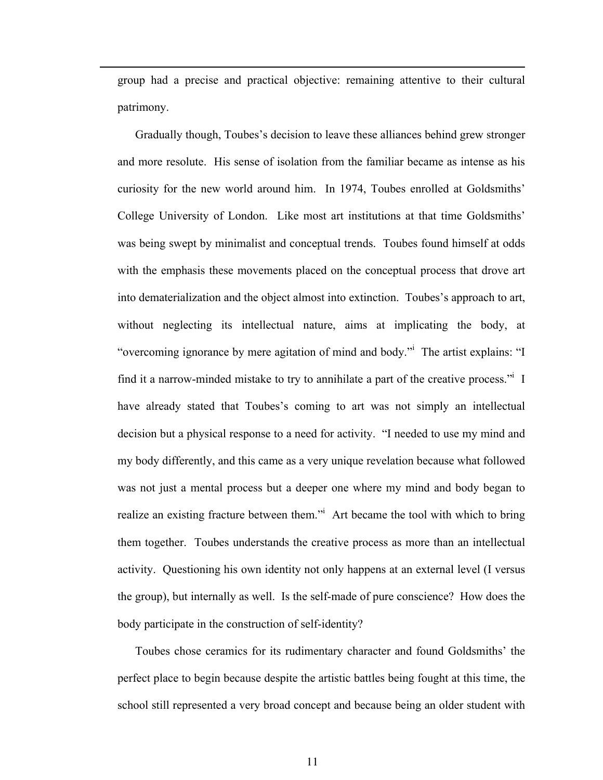group had a precise and practical objective: remaining attentive to their cultural patrimony.

l

 Gradually though, Toubes's decision to leave these alliances behind grew stronger and more resolute. His sense of isolation from the familiar became as intense as his curiosity for the new world around him. In 1974, Toubes enrolled at Goldsmiths' College University of London. Like most art institutions at that time Goldsmiths' was being swept by minimalist and conceptual trends. Toubes found himself at odds with the emphasis these movements placed on the conceptual process that drove art into dematerialization and the object almost into extinction. Toubes's approach to art, without neglecting its intellectual nature, aims at implicating the body, at "overcoming ignorance by mere agitation of mind and body." The artist explains: "I find it a narrow-minded mistake to try to annihilate a part of the creative process." I have already stated that Toubes's coming to art was not simply an intellectual decision but a physical response to a need for activity. "I needed to use my mind and my body differently, and this came as a very unique revelation because what followed was not just a mental process but a deeper one where my mind and body began to realize an existing fracture between them." Art became the tool with which to bring them together. Toubes understands the creative process as more than an intellectual activity. Questioning his own identity not only happens at an external level (I versus the group), but internally as well. Is the self-made of pure conscience? How does the body participate in the construction of self-identity?

Toubes chose ceramics for its rudimentary character and found Goldsmiths' the perfect place to begin because despite the artistic battles being fought at this time, the school still represented a very broad concept and because being an older student with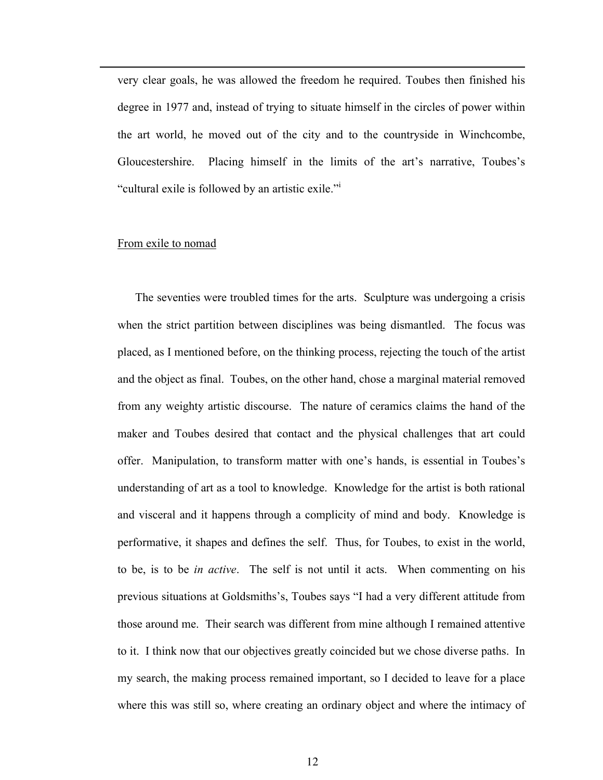very clear goals, he was allowed the freedom he required. Toubes then finished his degree in 1977 and, instead of trying to situate himself in the circles of power within the art world, he moved out of the city and to the countryside in Winchcombe, Gloucestershire. Placing himself in the limits of the art's narrative, Toubes's "cultural exile is followed by an artistic exile."<sup>i</sup>

#### From exile to nomad

l

The seventies were troubled times for the arts. Sculpture was undergoing a crisis when the strict partition between disciplines was being dismantled. The focus was placed, as I mentioned before, on the thinking process, rejecting the touch of the artist and the object as final. Toubes, on the other hand, chose a marginal material removed from any weighty artistic discourse. The nature of ceramics claims the hand of the maker and Toubes desired that contact and the physical challenges that art could offer. Manipulation, to transform matter with one's hands, is essential in Toubes's understanding of art as a tool to knowledge. Knowledge for the artist is both rational and visceral and it happens through a complicity of mind and body. Knowledge is performative, it shapes and defines the self. Thus, for Toubes, to exist in the world, to be, is to be *in active*. The self is not until it acts. When commenting on his previous situations at Goldsmiths's, Toubes says "I had a very different attitude from those around me. Their search was different from mine although I remained attentive to it. I think now that our objectives greatly coincided but we chose diverse paths. In my search, the making process remained important, so I decided to leave for a place where this was still so, where creating an ordinary object and where the intimacy of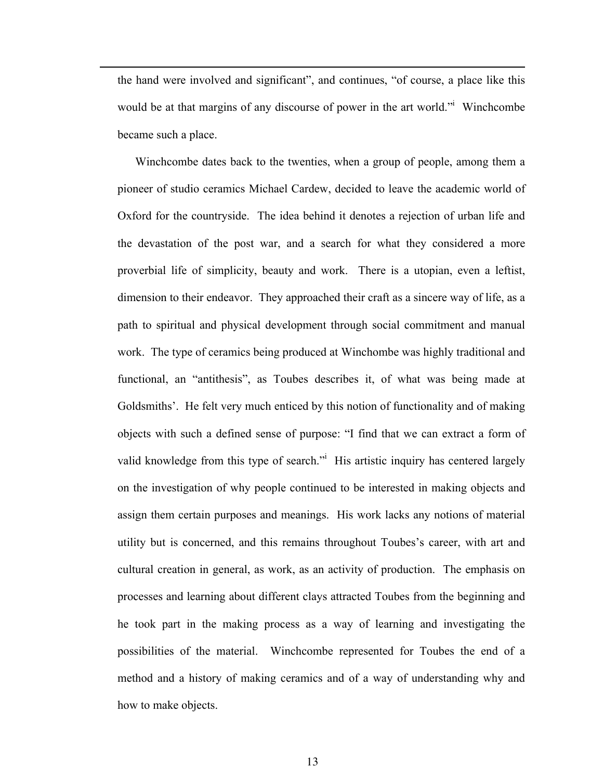the hand were involved and significant", and continues, "of course, a place like this would be at that margins of any discourse of power in the art world." Winchcombe became such a place.

l

Winchcombe dates back to the twenties, when a group of people, among them a pioneer of studio ceramics Michael Cardew, decided to leave the academic world of Oxford for the countryside. The idea behind it denotes a rejection of urban life and the devastation of the post war, and a search for what they considered a more proverbial life of simplicity, beauty and work. There is a utopian, even a leftist, dimension to their endeavor. They approached their craft as a sincere way of life, as a path to spiritual and physical development through social commitment and manual work. The type of ceramics being produced at Winchombe was highly traditional and functional, an "antithesis", as Toubes describes it, of what was being made at Goldsmiths'. He felt very much enticed by this notion of functionality and of making objects with such a defined sense of purpose: "I find that we can extract a form of valid knowledge from this type of search." His artistic inquiry has centered largely on the investigation of why people continued to be interested in making objects and assign them certain purposes and meanings. His work lacks any notions of material utility but is concerned, and this remains throughout Toubes's career, with art and cultural creation in general, as work, as an activity of production. The emphasis on processes and learning about different clays attracted Toubes from the beginning and he took part in the making process as a way of learning and investigating the possibilities of the material. Winchcombe represented for Toubes the end of a method and a history of making ceramics and of a way of understanding why and how to make objects.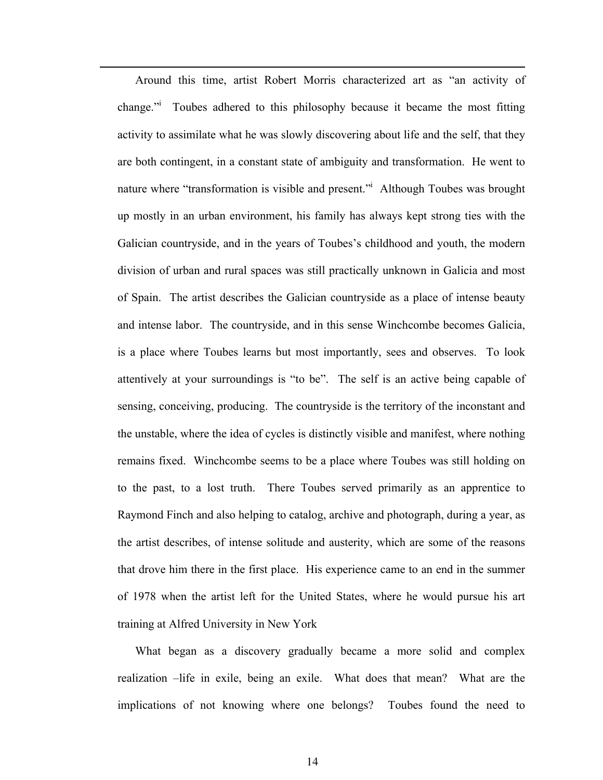Around this time, artist Robert Morris characterized art as "an activity of change." Toubes adhered to this philosophy because it became the most fitting activity to assimilate what he was slowly discovering about life and the self, that they are both contingent, in a constant state of ambiguity and transformation. He went to nature where "transformation is visible and present." Although Toubes was brought up mostly in an urban environment, his family has always kept strong ties with the Galician countryside, and in the years of Toubes's childhood and youth, the modern division of urban and rural spaces was still practically unknown in Galicia and most of Spain. The artist describes the Galician countryside as a place of intense beauty and intense labor. The countryside, and in this sense Winchcombe becomes Galicia, is a place where Toubes learns but most importantly, sees and observes. To look attentively at your surroundings is "to be". The self is an active being capable of sensing, conceiving, producing. The countryside is the territory of the inconstant and the unstable, where the idea of cycles is distinctly visible and manifest, where nothing remains fixed. Winchcombe seems to be a place where Toubes was still holding on to the past, to a lost truth. There Toubes served primarily as an apprentice to Raymond Finch and also helping to catalog, archive and photograph, during a year, as the artist describes, of intense solitude and austerity, which are some of the reasons that drove him there in the first place. His experience came to an end in the summer of 1978 when the artist left for the United States, where he would pursue his art training at Alfred University in New York

l

What began as a discovery gradually became a more solid and complex realization –life in exile, being an exile. What does that mean? What are the implications of not knowing where one belongs? Toubes found the need to

14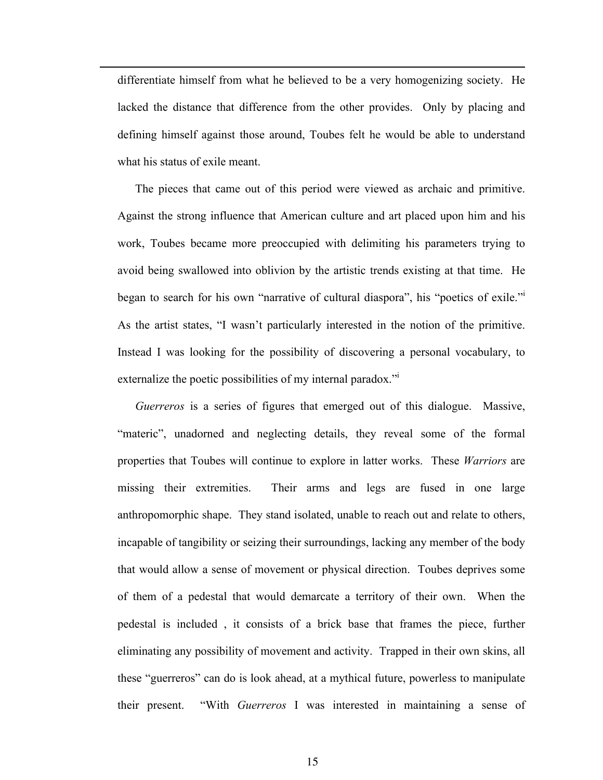differentiate himself from what he believed to be a very homogenizing society. He lacked the distance that difference from the other provides. Only by placing and defining himself against those around, Toubes felt he would be able to understand what his status of exile meant.

l

The pieces that came out of this period were viewed as archaic and primitive. Against the strong influence that American culture and art placed upon him and his work, Toubes became more preoccupied with delimiting his parameters trying to avoid being swallowed into oblivion by the artistic trends existing at that time. He began to search for his own "narrative of cultural diaspora", his "poetics of exile."<sup>i</sup> As the artist states, "I wasn't particularly interested in the notion of the primitive. Instead I was looking for the possibility of discovering a personal vocabulary, to externalize the poetic possibilities of my internal paradox."

*Guerreros* is a series of figures that emerged out of this dialogue. Massive, "materic", unadorned and neglecting details, they reveal some of the formal properties that Toubes will continue to explore in latter works. These *Warriors* are missing their extremities. Their arms and legs are fused in one large anthropomorphic shape. They stand isolated, unable to reach out and relate to others, incapable of tangibility or seizing their surroundings, lacking any member of the body that would allow a sense of movement or physical direction. Toubes deprives some of them of a pedestal that would demarcate a territory of their own. When the pedestal is included , it consists of a brick base that frames the piece, further eliminating any possibility of movement and activity. Trapped in their own skins, all these "guerreros" can do is look ahead, at a mythical future, powerless to manipulate their present. "With *Guerreros* I was interested in maintaining a sense of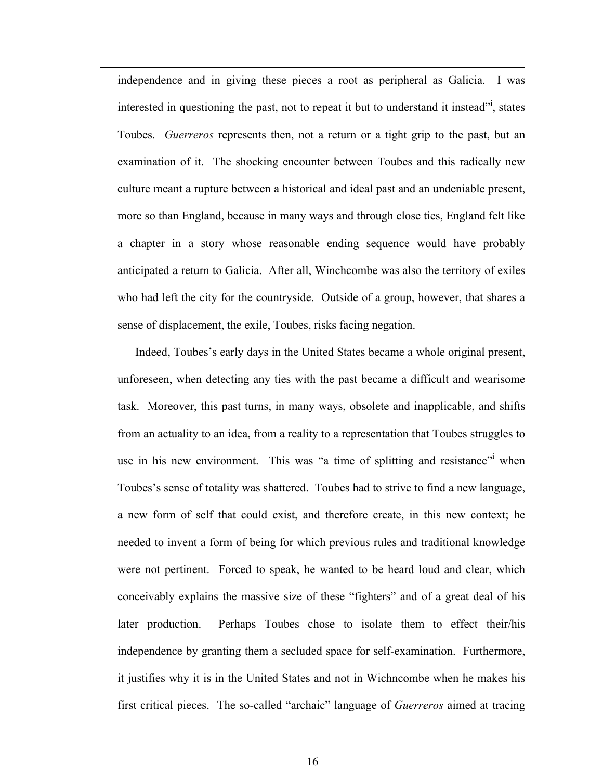independence and in giving these pieces a root as peripheral as Galicia. I was interested in questioning the past, not to repeat it but to understand it instead", states Toubes. *Guerreros* represents then, not a return or a tight grip to the past, but an examination of it. The shocking encounter between Toubes and this radically new culture meant a rupture between a historical and ideal past and an undeniable present, more so than England, because in many ways and through close ties, England felt like a chapter in a story whose reasonable ending sequence would have probably anticipated a return to Galicia. After all, Winchcombe was also the territory of exiles who had left the city for the countryside. Outside of a group, however, that shares a sense of displacement, the exile, Toubes, risks facing negation.

l

Indeed, Toubes's early days in the United States became a whole original present, unforeseen, when detecting any ties with the past became a difficult and wearisome task. Moreover, this past turns, in many ways, obsolete and inapplicable, and shifts from an actuality to an idea, from a reality to a representation that Toubes struggles to use in his new environment. This was "a time of splitting and resistance" when Toubes's sense of totality was shattered. Toubes had to strive to find a new language, a new form of self that could exist, and therefore create, in this new context; he needed to invent a form of being for which previous rules and traditional knowledge were not pertinent. Forced to speak, he wanted to be heard loud and clear, which conceivably explains the massive size of these "fighters" and of a great deal of his later production. Perhaps Toubes chose to isolate them to effect their/his independence by granting them a secluded space for self-examination. Furthermore, it justifies why it is in the United States and not in Wichncombe when he makes his first critical pieces. The so-called "archaic" language of *Guerreros* aimed at tracing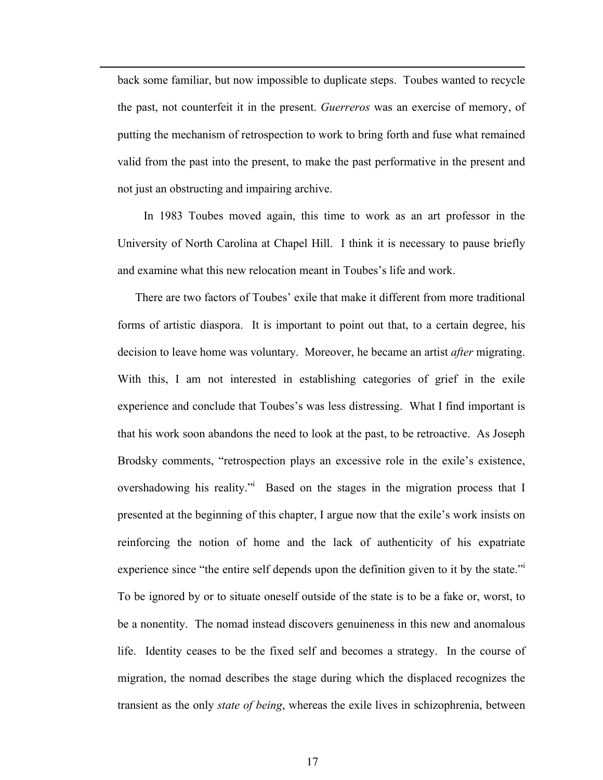back some familiar, but now impossible to duplicate steps. Toubes wanted to recycle the past, not counterfeit it in the present. *Guerreros* was an exercise of memory, of putting the mechanism of retrospection to work to bring forth and fuse what remained valid from the past into the present, to make the past performative in the present and not just an obstructing and impairing archive.

l

 In 1983 Toubes moved again, this time to work as an art professor in the University of North Carolina at Chapel Hill. I think it is necessary to pause briefly and examine what this new relocation meant in Toubes's life and work.

There are two factors of Toubes' exile that make it different from more traditional forms of artistic diaspora. It is important to point out that, to a certain degree, his decision to leave home was voluntary. Moreover, he became an artist *after* migrating. With this, I am not interested in establishing categories of grief in the exile experience and conclude that Toubes's was less distressing. What I find important is that his work soon abandons the need to look at the past, to be retroactive. As Joseph Brodsky comments, "retrospection plays an excessive role in the exile's existence, overshadowing his reality." Based on the stages in the migration process that I presented at the beginning of this chapter, I argue now that the exile's work insists on reinforcing the notion of home and the lack of authenticity of his expatriate experience since "the entire self depends upon the definition given to it by the state."<sup>i</sup> To be ignored by or to situate oneself outside of the state is to be a fake or, worst, to be a nonentity. The nomad instead discovers genuineness in this new and anomalous life. Identity ceases to be the fixed self and becomes a strategy. In the course of migration, the nomad describes the stage during which the displaced recognizes the transient as the only *state of being*, whereas the exile lives in schizophrenia, between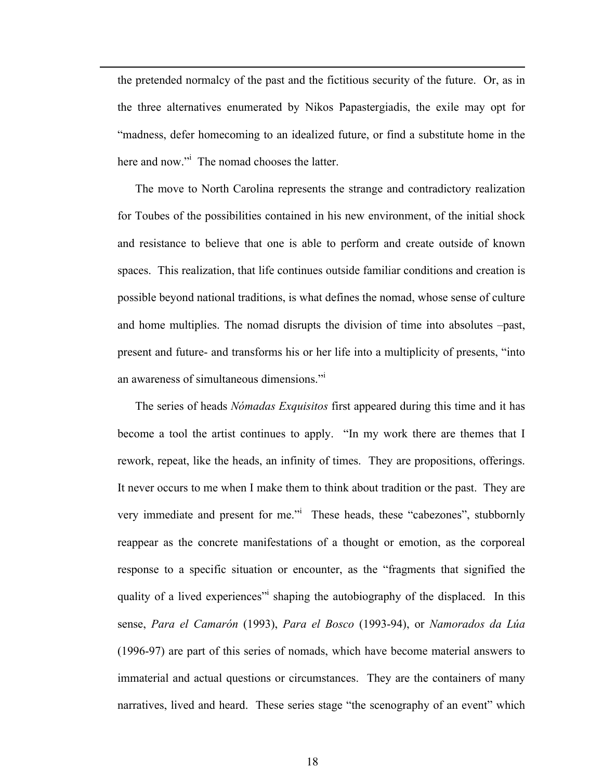the pretended normalcy of the past and the fictitious security of the future. Or, as in the three alternatives enumerated by Nikos Papastergiadis, the exile may opt for "madness, defer homecoming to an idealized future, or find a substitute home in the here and now."<sup>i</sup> The nomad chooses the latter.

l

The move to North Carolina represents the strange and contradictory realization for Toubes of the possibilities contained in his new environment, of the initial shock and resistance to believe that one is able to perform and create outside of known spaces. This realization, that life continues outside familiar conditions and creation is possible beyond national traditions, is what defines the nomad, whose sense of culture and home multiplies. The nomad disrupts the division of time into absolutes –past, present and future- and transforms his or her life into a multiplicity of presents, "into an awareness of simultaneous dimensions."<sup>i</sup>

The series of heads *Nómadas Exquisitos* first appeared during this time and it has become a tool the artist continues to apply. "In my work there are themes that I rework, repeat, like the heads, an infinity of times. They are propositions, offerings. It never occurs to me when I make them to think about tradition or the past. They are very immediate and present for me." These heads, these "cabezones", stubbornly reappear as the concrete manifestations of a thought or emotion, as the corporeal response to a specific situation or encounter, as the "fragments that signified the quality of a lived experiences<sup>"</sup> shaping the autobiography of the displaced. In this sense, *Para el Camarón* (1993), *Para el Bosco* (1993-94), or *Namorados da Lúa* (1996-97) are part of this series of nomads, which have become material answers to immaterial and actual questions or circumstances. They are the containers of many narratives, lived and heard. These series stage "the scenography of an event" which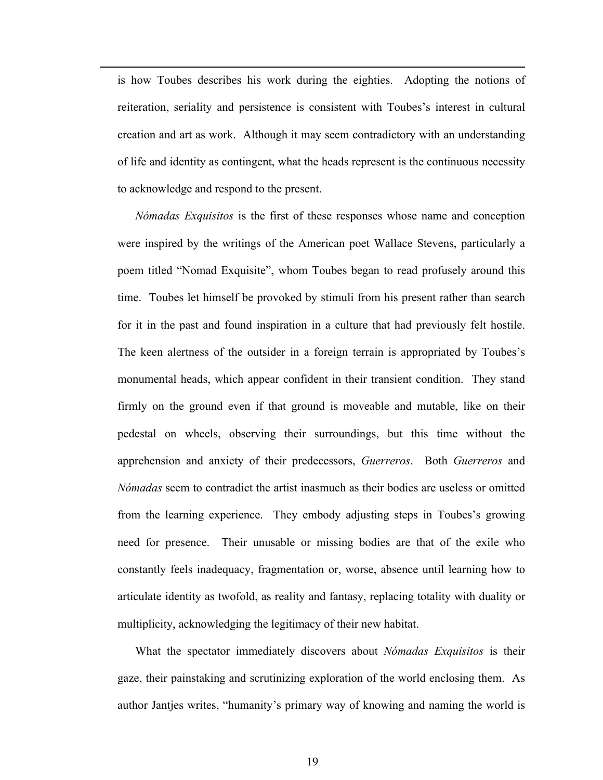is how Toubes describes his work during the eighties. Adopting the notions of reiteration, seriality and persistence is consistent with Toubes's interest in cultural creation and art as work. Although it may seem contradictory with an understanding of life and identity as contingent, what the heads represent is the continuous necessity to acknowledge and respond to the present.

l

*Nómadas Exquisitos* is the first of these responses whose name and conception were inspired by the writings of the American poet Wallace Stevens, particularly a poem titled "Nomad Exquisite", whom Toubes began to read profusely around this time. Toubes let himself be provoked by stimuli from his present rather than search for it in the past and found inspiration in a culture that had previously felt hostile. The keen alertness of the outsider in a foreign terrain is appropriated by Toubes's monumental heads, which appear confident in their transient condition. They stand firmly on the ground even if that ground is moveable and mutable, like on their pedestal on wheels, observing their surroundings, but this time without the apprehension and anxiety of their predecessors, *Guerreros*. Both *Guerreros* and *Nómadas* seem to contradict the artist inasmuch as their bodies are useless or omitted from the learning experience. They embody adjusting steps in Toubes's growing need for presence. Their unusable or missing bodies are that of the exile who constantly feels inadequacy, fragmentation or, worse, absence until learning how to articulate identity as twofold, as reality and fantasy, replacing totality with duality or multiplicity, acknowledging the legitimacy of their new habitat.

What the spectator immediately discovers about *Nómadas Exquisitos* is their gaze, their painstaking and scrutinizing exploration of the world enclosing them. As author Jantjes writes, "humanity's primary way of knowing and naming the world is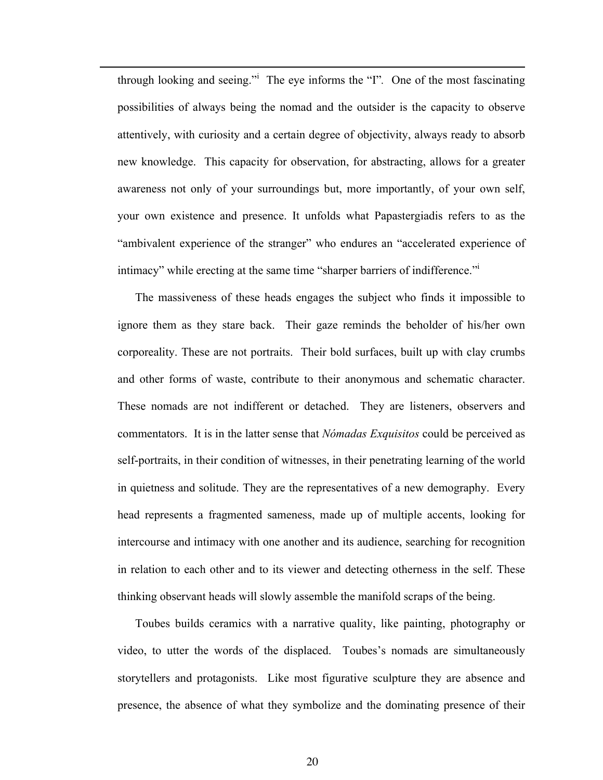through looking and seeing."<sup>i</sup> The eye informs the "I"*.* One of the most fascinating possibilities of always being the nomad and the outsider is the capacity to observe attentively, with curiosity and a certain degree of objectivity, always ready to absorb new knowledge. This capacity for observation, for abstracting, allows for a greater awareness not only of your surroundings but, more importantly, of your own self, your own existence and presence. It unfolds what Papastergiadis refers to as the "ambivalent experience of the stranger" who endures an "accelerated experience of intimacy" while erecting at the same time "sharper barriers of indifference."<sup>i</sup>

l

The massiveness of these heads engages the subject who finds it impossible to ignore them as they stare back. Their gaze reminds the beholder of his/her own corporeality. These are not portraits. Their bold surfaces, built up with clay crumbs and other forms of waste, contribute to their anonymous and schematic character. These nomads are not indifferent or detached. They are listeners, observers and commentators. It is in the latter sense that *Nómadas Exquisitos* could be perceived as self-portraits, in their condition of witnesses, in their penetrating learning of the world in quietness and solitude. They are the representatives of a new demography. Every head represents a fragmented sameness, made up of multiple accents, looking for intercourse and intimacy with one another and its audience, searching for recognition in relation to each other and to its viewer and detecting otherness in the self. These thinking observant heads will slowly assemble the manifold scraps of the being.

Toubes builds ceramics with a narrative quality, like painting, photography or video, to utter the words of the displaced. Toubes's nomads are simultaneously storytellers and protagonists. Like most figurative sculpture they are absence and presence, the absence of what they symbolize and the dominating presence of their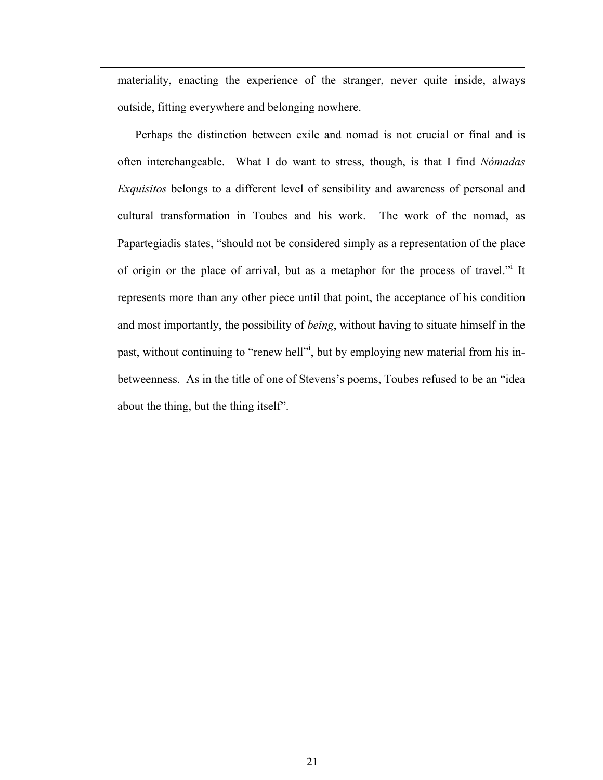materiality, enacting the experience of the stranger, never quite inside, always outside, fitting everywhere and belonging nowhere.

l

Perhaps the distinction between exile and nomad is not crucial or final and is often interchangeable. What I do want to stress, though, is that I find *Nómadas Exquisitos* belongs to a different level of sensibility and awareness of personal and cultural transformation in Toubes and his work. The work of the nomad, as Papartegiadis states, "should not be considered simply as a representation of the place of origin or the place of arrival, but as a metaphor for the process of travel." It represents more than any other piece until that point, the acceptance of his condition and most importantly, the possibility of *being*, without having to situate himself in the past, without continuing to "renew hell"<sup>*i*</sup>, but by employing new material from his inbetweenness. As in the title of one of Stevens's poems, Toubes refused to be an "idea about the thing, but the thing itself".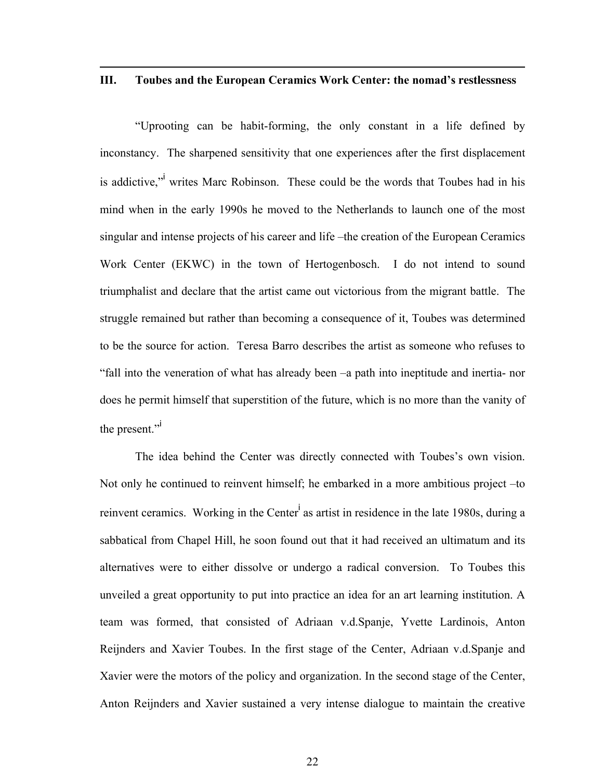#### **III. Toubes and the European Ceramics Work Center: the nomad's restlessness**

l

"Uprooting can be habit-forming, the only constant in a life defined by inconstancy. The sharpened sensitivity that one experiences after the first displacement is addictive," writes Marc Robinson. These could be the words that Toubes had in his mind when in the early 1990s he moved to the Netherlands to launch one of the most singular and intense projects of his career and life –the creation of the European Ceramics Work Center (EKWC) in the town of Hertogenbosch. I do not intend to sound triumphalist and declare that the artist came out victorious from the migrant battle. The struggle remained but rather than becoming a consequence of it, Toubes was determined to be the source for action. Teresa Barro describes the artist as someone who refuses to "fall into the veneration of what has already been –a path into ineptitude and inertia- nor does he permit himself that superstition of the future, which is no more than the vanity of the present."

The idea behind the Center was directly connected with Toubes's own vision. Not only he continued to reinvent himself; he embarked in a more ambitious project –to reinvent ceramics. Working in the Center<sup>i</sup> as artist in residence in the late 1980s, during a sabbatical from Chapel Hill, he soon found out that it had received an ultimatum and its alternatives were to either dissolve or undergo a radical conversion. To Toubes this unveiled a great opportunity to put into practice an idea for an art learning institution. A team was formed, that consisted of Adriaan v.d.Spanje, Yvette Lardinois, Anton Reijnders and Xavier Toubes. In the first stage of the Center, Adriaan v.d.Spanje and Xavier were the motors of the policy and organization. In the second stage of the Center, Anton Reijnders and Xavier sustained a very intense dialogue to maintain the creative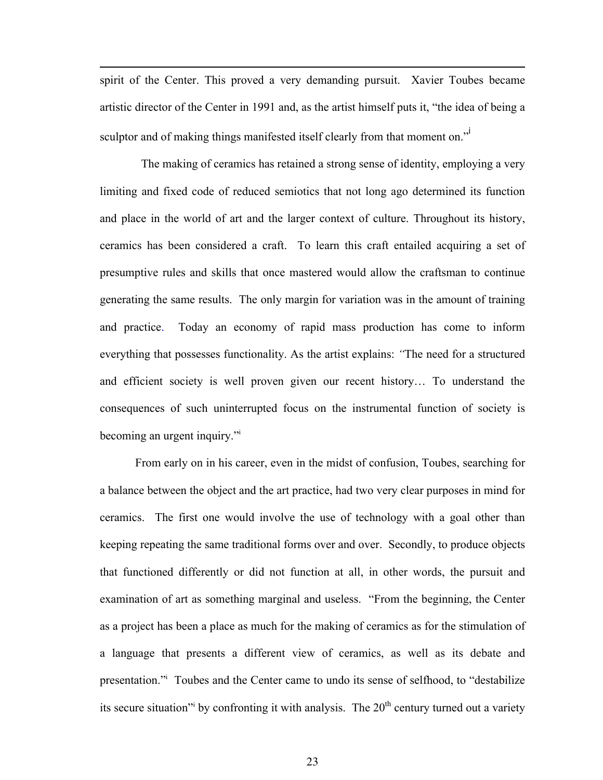spirit of the Center. This proved a very demanding pursuit. Xavier Toubes became artistic director of the Center in 1991 and, as the artist himself puts it, "the idea of being a sculptor and of making things manifested itself clearly from that moment on."<sup>i</sup>

l

 The making of ceramics has retained a strong sense of identity, employing a very limiting and fixed code of reduced semiotics that not long ago determined its function and place in the world of art and the larger context of culture. Throughout its history, ceramics has been considered a craft. To learn this craft entailed acquiring a set of presumptive rules and skills that once mastered would allow the craftsman to continue generating the same results. The only margin for variation was in the amount of training and practice. Today an economy of rapid mass production has come to inform everything that possesses functionality. As the artist explains: *"*The need for a structured and efficient society is well proven given our recent history… To understand the consequences of such uninterrupted focus on the instrumental function of society is becoming an urgent inquiry."

From early on in his career, even in the midst of confusion, Toubes, searching for a balance between the object and the art practice, had two very clear purposes in mind for ceramics. The first one would involve the use of technology with a goal other than keeping repeating the same traditional forms over and over. Secondly, to produce objects that functioned differently or did not function at all, in other words, the pursuit and examination of art as something marginal and useless. "From the beginning, the Center as a project has been a place as much for the making of ceramics as for the stimulation of a language that presents a different view of ceramics, as well as its debate and presentation."<sup>i</sup> Toubes and the Center came to undo its sense of selfhood, to "destabilize its secure situation<sup>"</sup> by confronting it with analysis. The  $20<sup>th</sup>$  century turned out a variety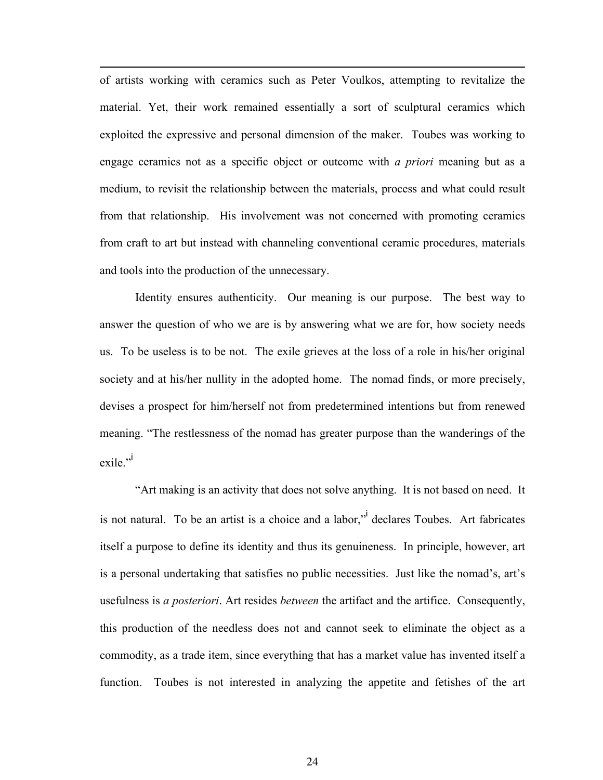of artists working with ceramics such as Peter Voulkos, attempting to revitalize the material. Yet, their work remained essentially a sort of sculptural ceramics which exploited the expressive and personal dimension of the maker. Toubes was working to engage ceramics not as a specific object or outcome with *a priori* meaning but as a medium, to revisit the relationship between the materials, process and what could result from that relationship. His involvement was not concerned with promoting ceramics from craft to art but instead with channeling conventional ceramic procedures, materials and tools into the production of the unnecessary.

l

Identity ensures authenticity. Our meaning is our purpose. The best way to answer the question of who we are is by answering what we are for, how society needs us. To be useless is to be not. The exile grieves at the loss of a role in his/her original society and at his/her nullity in the adopted home. The nomad finds, or more precisely, devises a prospect for him/herself not from predetermined intentions but from renewed meaning. "The restlessness of the nomad has greater purpose than the wanderings of the exile."

"Art making is an activity that does not solve anything. It is not based on need. It is not natural. To be an artist is a choice and a labor," declares Toubes. Art fabricates itself a purpose to define its identity and thus its genuineness. In principle, however, art is a personal undertaking that satisfies no public necessities. Just like the nomad's, art's usefulness is *a posteriori*. Art resides *between* the artifact and the artifice. Consequently, this production of the needless does not and cannot seek to eliminate the object as a commodity, as a trade item, since everything that has a market value has invented itself a function. Toubes is not interested in analyzing the appetite and fetishes of the art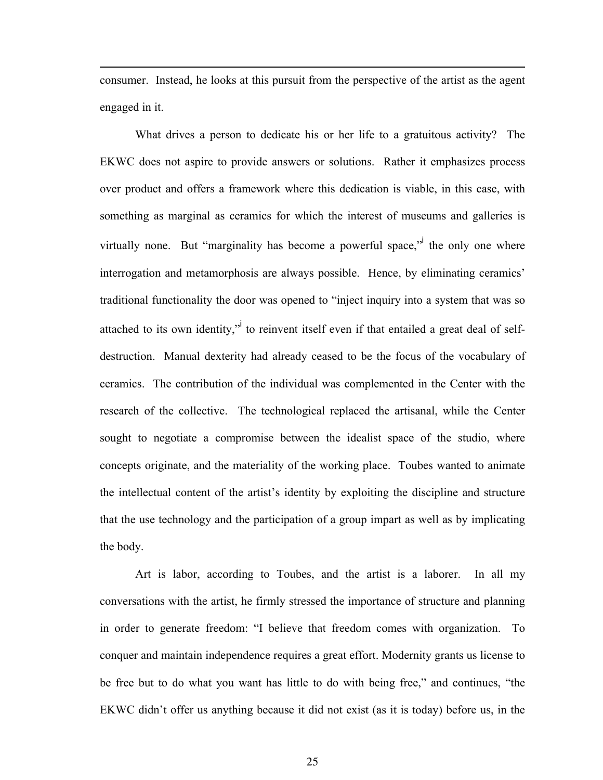consumer. Instead, he looks at this pursuit from the perspective of the artist as the agent engaged in it.

l

What drives a person to dedicate his or her life to a gratuitous activity? The EKWC does not aspire to provide answers or solutions. Rather it emphasizes process over product and offers a framework where this dedication is viable, in this case, with something as marginal as ceramics for which the interest of museums and galleries is virtually none. But "marginality has become a powerful space," the only one where interrogation and metamorphosis are always possible. Hence, by eliminating ceramics' traditional functionality the door was opened to "inject inquiry into a system that was so attached to its own identity," to reinvent itself even if that entailed a great deal of selfdestruction. Manual dexterity had already ceased to be the focus of the vocabulary of ceramics. The contribution of the individual was complemented in the Center with the research of the collective. The technological replaced the artisanal, while the Center sought to negotiate a compromise between the idealist space of the studio, where concepts originate, and the materiality of the working place. Toubes wanted to animate the intellectual content of the artist's identity by exploiting the discipline and structure that the use technology and the participation of a group impart as well as by implicating the body.

Art is labor, according to Toubes, and the artist is a laborer. In all my conversations with the artist, he firmly stressed the importance of structure and planning in order to generate freedom: "I believe that freedom comes with organization. To conquer and maintain independence requires a great effort. Modernity grants us license to be free but to do what you want has little to do with being free," and continues, "the EKWC didn't offer us anything because it did not exist (as it is today) before us, in the

25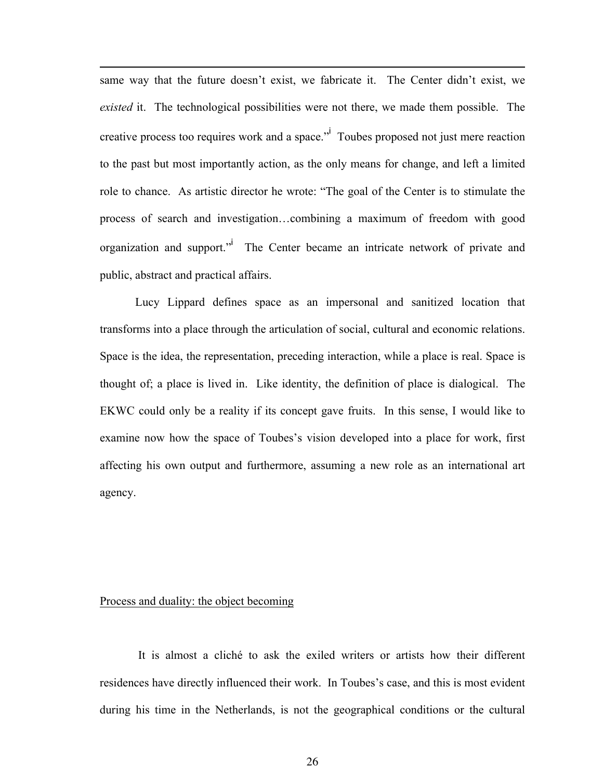same way that the future doesn't exist, we fabricate it. The Center didn't exist, we *existed* it. The technological possibilities were not there, we made them possible. The creative process too requires work and a space."<sup>I</sup> Toubes proposed not just mere reaction to the past but most importantly action, as the only means for change, and left a limited role to chance. As artistic director he wrote: "The goal of the Center is to stimulate the process of search and investigation…combining a maximum of freedom with good organization and support."<sup>i</sup> The Center became an intricate network of private and public, abstract and practical affairs.

Lucy Lippard defines space as an impersonal and sanitized location that transforms into a place through the articulation of social, cultural and economic relations. Space is the idea, the representation, preceding interaction, while a place is real. Space is thought of; a place is lived in. Like identity, the definition of place is dialogical. The EKWC could only be a reality if its concept gave fruits. In this sense, I would like to examine now how the space of Toubes's vision developed into a place for work, first affecting his own output and furthermore, assuming a new role as an international art agency.

#### Process and duality: the object becoming

l

 It is almost a cliché to ask the exiled writers or artists how their different residences have directly influenced their work. In Toubes's case, and this is most evident during his time in the Netherlands, is not the geographical conditions or the cultural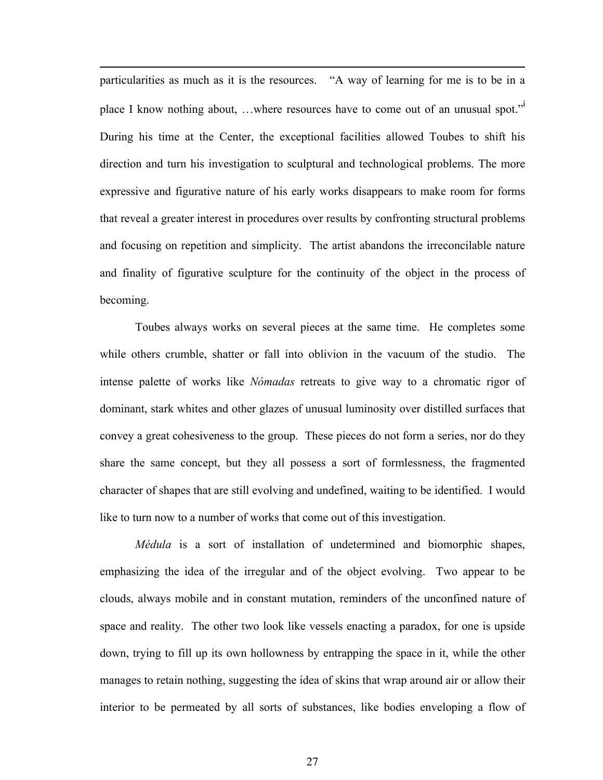particularities as much as it is the resources. "A way of learning for me is to be in a place I know nothing about, ...where resources have to come out of an unusual spot." During his time at the Center, the exceptional facilities allowed Toubes to shift his direction and turn his investigation to sculptural and technological problems. The more expressive and figurative nature of his early works disappears to make room for forms that reveal a greater interest in procedures over results by confronting structural problems and focusing on repetition and simplicity. The artist abandons the irreconcilable nature and finality of figurative sculpture for the continuity of the object in the process of becoming.

l

Toubes always works on several pieces at the same time. He completes some while others crumble, shatter or fall into oblivion in the vacuum of the studio. The intense palette of works like *Nómadas* retreats to give way to a chromatic rigor of dominant, stark whites and other glazes of unusual luminosity over distilled surfaces that convey a great cohesiveness to the group. These pieces do not form a series, nor do they share the same concept, but they all possess a sort of formlessness, the fragmented character of shapes that are still evolving and undefined, waiting to be identified. I would like to turn now to a number of works that come out of this investigation.

*Médula* is a sort of installation of undetermined and biomorphic shapes, emphasizing the idea of the irregular and of the object evolving. Two appear to be clouds, always mobile and in constant mutation, reminders of the unconfined nature of space and reality. The other two look like vessels enacting a paradox, for one is upside down, trying to fill up its own hollowness by entrapping the space in it, while the other manages to retain nothing, suggesting the idea of skins that wrap around air or allow their interior to be permeated by all sorts of substances, like bodies enveloping a flow of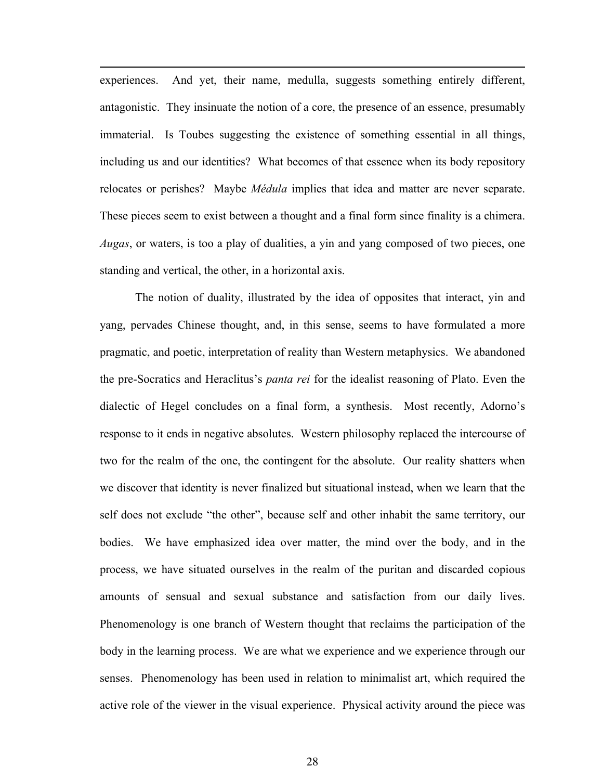experiences. And yet, their name, medulla, suggests something entirely different, antagonistic. They insinuate the notion of a core, the presence of an essence, presumably immaterial. Is Toubes suggesting the existence of something essential in all things, including us and our identities? What becomes of that essence when its body repository relocates or perishes? Maybe *Médula* implies that idea and matter are never separate. These pieces seem to exist between a thought and a final form since finality is a chimera. *Augas*, or waters, is too a play of dualities, a yin and yang composed of two pieces, one standing and vertical, the other, in a horizontal axis.

l

The notion of duality, illustrated by the idea of opposites that interact, yin and yang, pervades Chinese thought, and, in this sense, seems to have formulated a more pragmatic, and poetic, interpretation of reality than Western metaphysics. We abandoned the pre-Socratics and Heraclitus's *panta rei* for the idealist reasoning of Plato. Even the dialectic of Hegel concludes on a final form, a synthesis. Most recently, Adorno's response to it ends in negative absolutes. Western philosophy replaced the intercourse of two for the realm of the one, the contingent for the absolute. Our reality shatters when we discover that identity is never finalized but situational instead, when we learn that the self does not exclude "the other", because self and other inhabit the same territory, our bodies. We have emphasized idea over matter, the mind over the body, and in the process, we have situated ourselves in the realm of the puritan and discarded copious amounts of sensual and sexual substance and satisfaction from our daily lives. Phenomenology is one branch of Western thought that reclaims the participation of the body in the learning process. We are what we experience and we experience through our senses. Phenomenology has been used in relation to minimalist art, which required the active role of the viewer in the visual experience. Physical activity around the piece was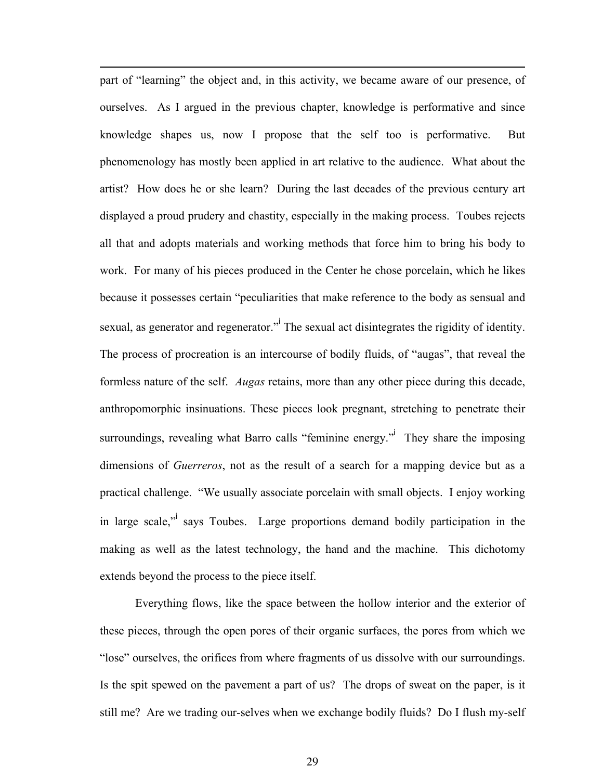part of "learning" the object and, in this activity, we became aware of our presence, of ourselves. As I argued in the previous chapter, knowledge is performative and since knowledge shapes us, now I propose that the self too is performative. But phenomenology has mostly been applied in art relative to the audience. What about the artist? How does he or she learn? During the last decades of the previous century art displayed a proud prudery and chastity, especially in the making process. Toubes rejects all that and adopts materials and working methods that force him to bring his body to work. For many of his pieces produced in the Center he chose porcelain, which he likes because it possesses certain "peculiarities that make reference to the body as sensual and sexual, as generator and regenerator."<sup>I</sup> The sexual act disintegrates the rigidity of identity. The process of procreation is an intercourse of bodily fluids, of "augas", that reveal the formless nature of the self. *Augas* retains, more than any other piece during this decade, anthropomorphic insinuations. These pieces look pregnant, stretching to penetrate their surroundings, revealing what Barro calls "feminine energy." They share the imposing dimensions of *Guerreros*, not as the result of a search for a mapping device but as a practical challenge. "We usually associate porcelain with small objects. I enjoy working in large scale," says Toubes. Large proportions demand bodily participation in the making as well as the latest technology, the hand and the machine. This dichotomy extends beyond the process to the piece itself.

l

Everything flows, like the space between the hollow interior and the exterior of these pieces, through the open pores of their organic surfaces, the pores from which we "lose" ourselves, the orifices from where fragments of us dissolve with our surroundings. Is the spit spewed on the pavement a part of us? The drops of sweat on the paper, is it still me? Are we trading our-selves when we exchange bodily fluids? Do I flush my-self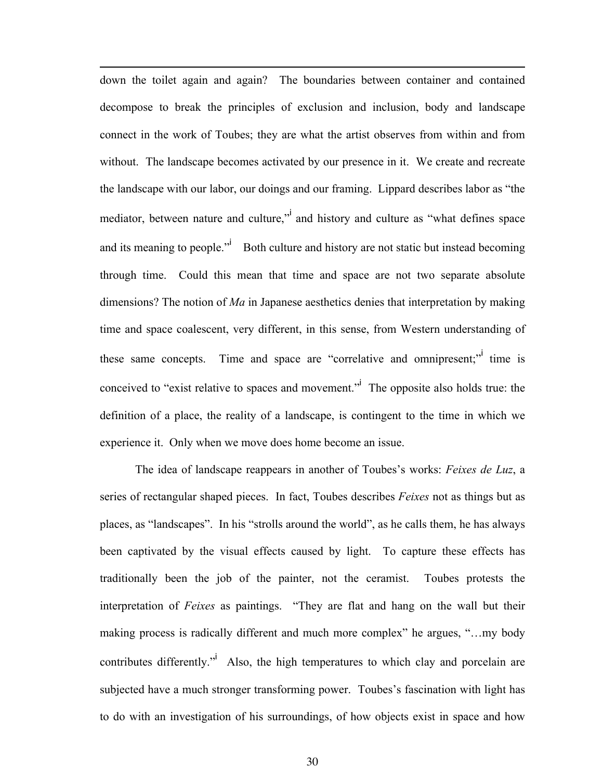down the toilet again and again? The boundaries between container and contained decompose to break the principles of exclusion and inclusion, body and landscape connect in the work of Toubes; they are what the artist observes from within and from without. The landscape becomes activated by our presence in it. We create and recreate the landscape with our labor, our doings and our framing. Lippard describes labor as "the mediator, between nature and culture," and history and culture as "what defines space and its meaning to people." $\overrightarrow{a}$  Both culture and history are not static but instead becoming through time. Could this mean that time and space are not two separate absolute dimensions? The notion of *Ma* in Japanese aesthetics denies that interpretation by making time and space coalescent, very different, in this sense, from Western understanding of these same concepts. Time and space are "correlative and omnipresent;" time is conceived to "exist relative to spaces and movement." The opposite also holds true: the definition of a place, the reality of a landscape, is contingent to the time in which we experience it. Only when we move does home become an issue.

l

The idea of landscape reappears in another of Toubes's works: *Feixes de Luz*, a series of rectangular shaped pieces. In fact, Toubes describes *Feixes* not as things but as places, as "landscapes". In his "strolls around the world", as he calls them, he has always been captivated by the visual effects caused by light. To capture these effects has traditionally been the job of the painter, not the ceramist. Toubes protests the interpretation of *Feixes* as paintings. "They are flat and hang on the wall but their making process is radically different and much more complex" he argues, "…my body contributes differently."<sup>i</sup> Also, the high temperatures to which clay and porcelain are subjected have a much stronger transforming power. Toubes's fascination with light has to do with an investigation of his surroundings, of how objects exist in space and how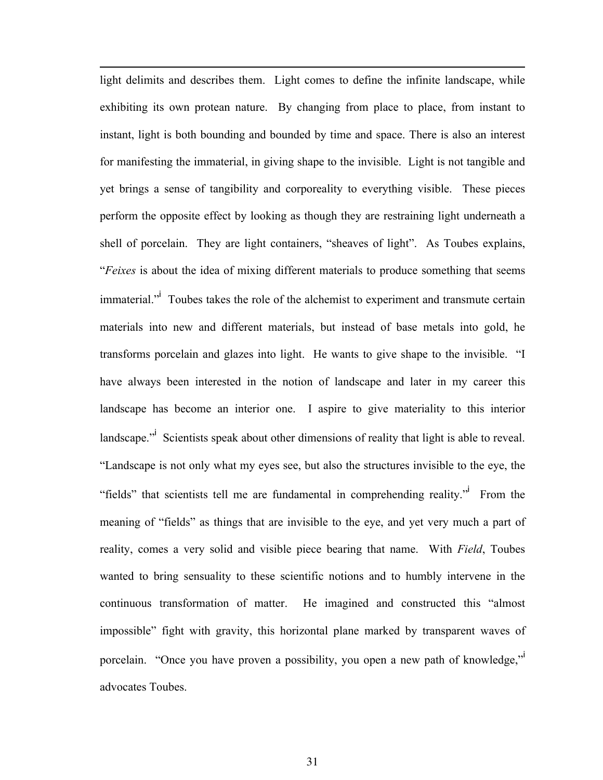light delimits and describes them. Light comes to define the infinite landscape, while exhibiting its own protean nature. By changing from place to place, from instant to instant, light is both bounding and bounded by time and space. There is also an interest for manifesting the immaterial, in giving shape to the invisible. Light is not tangible and yet brings a sense of tangibility and corporeality to everything visible. These pieces perform the opposite effect by looking as though they are restraining light underneath a shell of porcelain. They are light containers, "sheaves of light". As Toubes explains, "*Feixes* is about the idea of mixing different materials to produce something that seems immaterial.<sup>"</sup> Toubes takes the role of the alchemist to experiment and transmute certain materials into new and different materials, but instead of base metals into gold, he transforms porcelain and glazes into light. He wants to give shape to the invisible. "I have always been interested in the notion of landscape and later in my career this landscape has become an interior one. I aspire to give materiality to this interior landscape."<sup>i</sup> Scientists speak about other dimensions of reality that light is able to reveal. "Landscape is not only what my eyes see, but also the structures invisible to the eye, the "fields" that scientists tell me are fundamental in comprehending reality." From the meaning of "fields" as things that are invisible to the eye, and yet very much a part of reality, comes a very solid and visible piece bearing that name. With *Field*, Toubes wanted to bring sensuality to these scientific notions and to humbly intervene in the continuous transformation of matter. He imagined and constructed this "almost impossible" fight with gravity, this horizontal plane marked by transparent waves of porcelain. "Once you have proven a possibility, you open a new path of knowledge," advocates Toubes.

l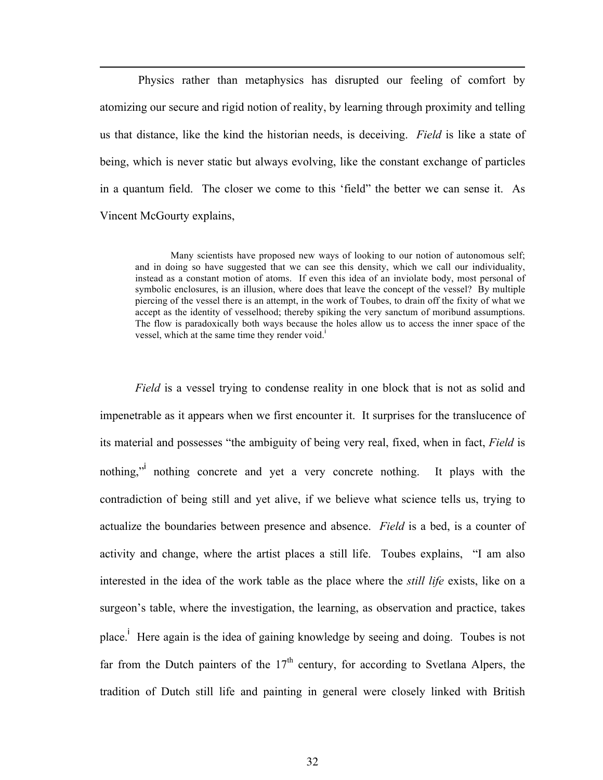Physics rather than metaphysics has disrupted our feeling of comfort by atomizing our secure and rigid notion of reality, by learning through proximity and telling us that distance, like the kind the historian needs, is deceiving. *Field* is like a state of being, which is never static but always evolving, like the constant exchange of particles in a quantum field. The closer we come to this 'field" the better we can sense it. As Vincent McGourty explains,

l

 Many scientists have proposed new ways of looking to our notion of autonomous self; and in doing so have suggested that we can see this density, which we call our individuality, instead as a constant motion of atoms. If even this idea of an inviolate body, most personal of symbolic enclosures, is an illusion, where does that leave the concept of the vessel? By multiple piercing of the vessel there is an attempt, in the work of Toubes, to drain off the fixity of what we accept as the identity of vesselhood; thereby spiking the very sanctum of moribund assumptions. The flow is paradoxically both ways because the holes allow us to access the inner space of the vessel, which at the same time they render void.<sup>1</sup>

*Field* is a vessel trying to condense reality in one block that is not as solid and impenetrable as it appears when we first encounter it. It surprises for the translucence of its material and possesses "the ambiguity of being very real, fixed, when in fact, *Field* is nothing," nothing concrete and yet a very concrete nothing. It plays with the contradiction of being still and yet alive, if we believe what science tells us, trying to actualize the boundaries between presence and absence. *Field* is a bed, is a counter of activity and change, where the artist places a still life. Toubes explains, "I am also interested in the idea of the work table as the place where the *still life* exists, like on a surgeon's table, where the investigation, the learning, as observation and practice, takes place.<sup>i</sup> Here again is the idea of gaining knowledge by seeing and doing. Toubes is not far from the Dutch painters of the  $17<sup>th</sup>$  century, for according to Svetlana Alpers, the tradition of Dutch still life and painting in general were closely linked with British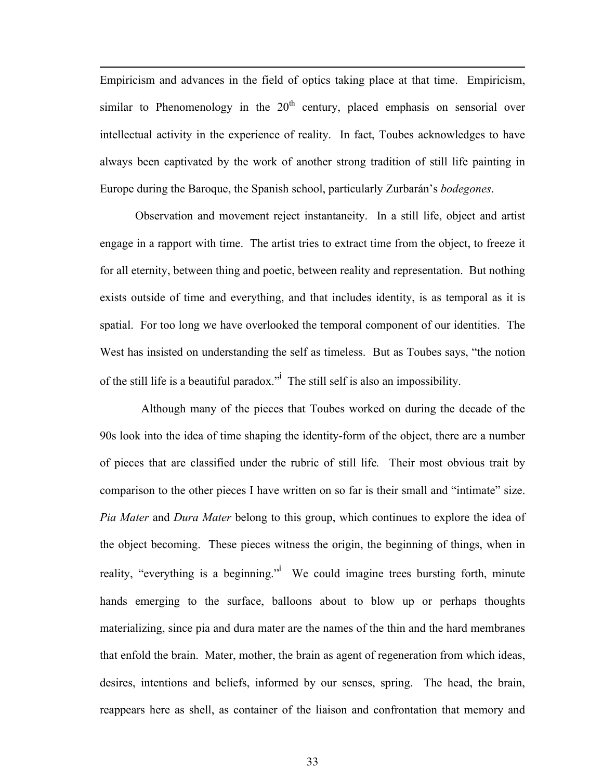Empiricism and advances in the field of optics taking place at that time. Empiricism, similar to Phenomenology in the  $20<sup>th</sup>$  century, placed emphasis on sensorial over intellectual activity in the experience of reality. In fact, Toubes acknowledges to have always been captivated by the work of another strong tradition of still life painting in Europe during the Baroque, the Spanish school, particularly Zurbarán's *bodegones*.

l

 Observation and movement reject instantaneity. In a still life, object and artist engage in a rapport with time. The artist tries to extract time from the object, to freeze it for all eternity, between thing and poetic, between reality and representation. But nothing exists outside of time and everything, and that includes identity, is as temporal as it is spatial. For too long we have overlooked the temporal component of our identities. The West has insisted on understanding the self as timeless. But as Toubes says, "the notion of the still life is a beautiful paradox."<sup>i</sup> The still self is also an impossibility.

 Although many of the pieces that Toubes worked on during the decade of the 90s look into the idea of time shaping the identity-form of the object, there are a number of pieces that are classified under the rubric of still life*.* Their most obvious trait by comparison to the other pieces I have written on so far is their small and "intimate" size. *Pia Mater* and *Dura Mater* belong to this group, which continues to explore the idea of the object becoming. These pieces witness the origin, the beginning of things, when in reality, "everything is a beginning." We could imagine trees bursting forth, minute hands emerging to the surface, balloons about to blow up or perhaps thoughts materializing, since pia and dura mater are the names of the thin and the hard membranes that enfold the brain. Mater, mother, the brain as agent of regeneration from which ideas, desires, intentions and beliefs, informed by our senses, spring. The head, the brain, reappears here as shell, as container of the liaison and confrontation that memory and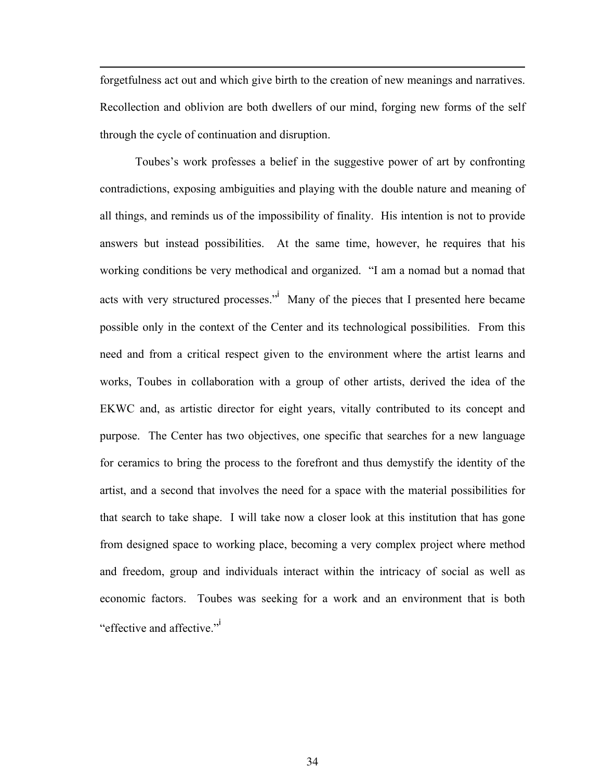forgetfulness act out and which give birth to the creation of new meanings and narratives. Recollection and oblivion are both dwellers of our mind, forging new forms of the self through the cycle of continuation and disruption.

l

Toubes's work professes a belief in the suggestive power of art by confronting contradictions, exposing ambiguities and playing with the double nature and meaning of all things, and reminds us of the impossibility of finality. His intention is not to provide answers but instead possibilities. At the same time, however, he requires that his working conditions be very methodical and organized. "I am a nomad but a nomad that acts with very structured processes."<sup>i</sup> Many of the pieces that I presented here became possible only in the context of the Center and its technological possibilities. From this need and from a critical respect given to the environment where the artist learns and works, Toubes in collaboration with a group of other artists, derived the idea of the EKWC and, as artistic director for eight years, vitally contributed to its concept and purpose. The Center has two objectives, one specific that searches for a new language for ceramics to bring the process to the forefront and thus demystify the identity of the artist, and a second that involves the need for a space with the material possibilities for that search to take shape. I will take now a closer look at this institution that has gone from designed space to working place, becoming a very complex project where method and freedom, group and individuals interact within the intricacy of social as well as economic factors. Toubes was seeking for a work and an environment that is both "effective and affective."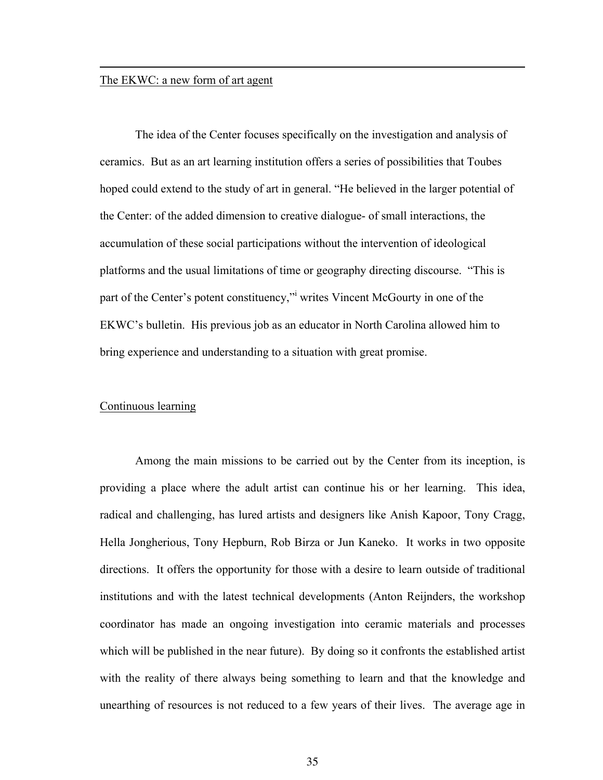#### The EKWC: a new form of art agent

l

 The idea of the Center focuses specifically on the investigation and analysis of ceramics. But as an art learning institution offers a series of possibilities that Toubes hoped could extend to the study of art in general. "He believed in the larger potential of the Center: of the added dimension to creative dialogue- of small interactions, the accumulation of these social participations without the intervention of ideological platforms and the usual limitations of time or geography directing discourse. "This is part of the Center's potent constituency," writes Vincent McGourty in one of the EKWC's bulletin. His previous job as an educator in North Carolina allowed him to bring experience and understanding to a situation with great promise.

#### Continuous learning

 Among the main missions to be carried out by the Center from its inception, is providing a place where the adult artist can continue his or her learning. This idea, radical and challenging, has lured artists and designers like Anish Kapoor, Tony Cragg, Hella Jongherious, Tony Hepburn, Rob Birza or Jun Kaneko. It works in two opposite directions. It offers the opportunity for those with a desire to learn outside of traditional institutions and with the latest technical developments (Anton Reijnders, the workshop coordinator has made an ongoing investigation into ceramic materials and processes which will be published in the near future). By doing so it confronts the established artist with the reality of there always being something to learn and that the knowledge and unearthing of resources is not reduced to a few years of their lives. The average age in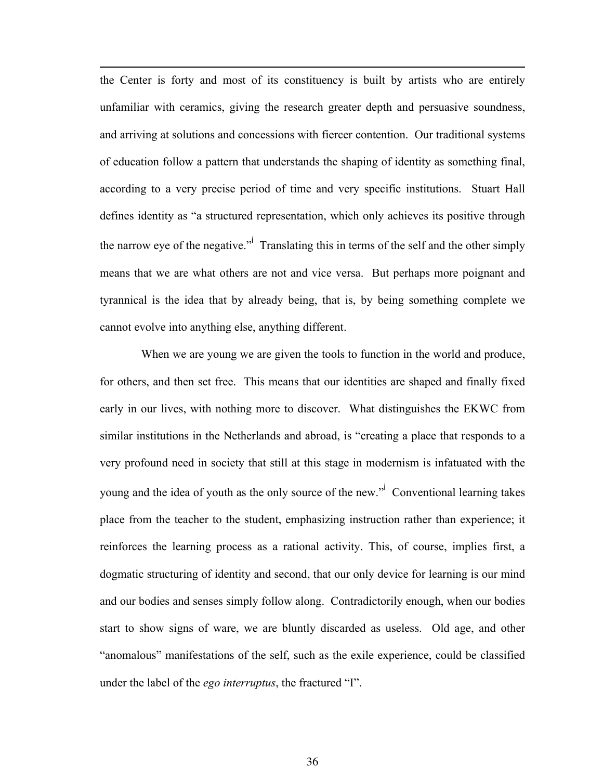the Center is forty and most of its constituency is built by artists who are entirely unfamiliar with ceramics, giving the research greater depth and persuasive soundness, and arriving at solutions and concessions with fiercer contention. Our traditional systems of education follow a pattern that understands the shaping of identity as something final, according to a very precise period of time and very specific institutions. Stuart Hall defines identity as "a structured representation, which only achieves its positive through the narrow eye of the negative." Translating this in terms of the self and the other simply means that we are what others are not and vice versa. But perhaps more poignant and tyrannical is the idea that by already being, that is, by being something complete we cannot evolve into anything else, anything different.

l

 When we are young we are given the tools to function in the world and produce, for others, and then set free. This means that our identities are shaped and finally fixed early in our lives, with nothing more to discover. What distinguishes the EKWC from similar institutions in the Netherlands and abroad, is "creating a place that responds to a very profound need in society that still at this stage in modernism is infatuated with the young and the idea of youth as the only source of the new.<sup>"</sup> Conventional learning takes place from the teacher to the student, emphasizing instruction rather than experience; it reinforces the learning process as a rational activity. This, of course, implies first, a dogmatic structuring of identity and second, that our only device for learning is our mind and our bodies and senses simply follow along. Contradictorily enough, when our bodies start to show signs of ware, we are bluntly discarded as useless. Old age, and other "anomalous" manifestations of the self, such as the exile experience, could be classified under the label of the *ego interruptus*, the fractured "I".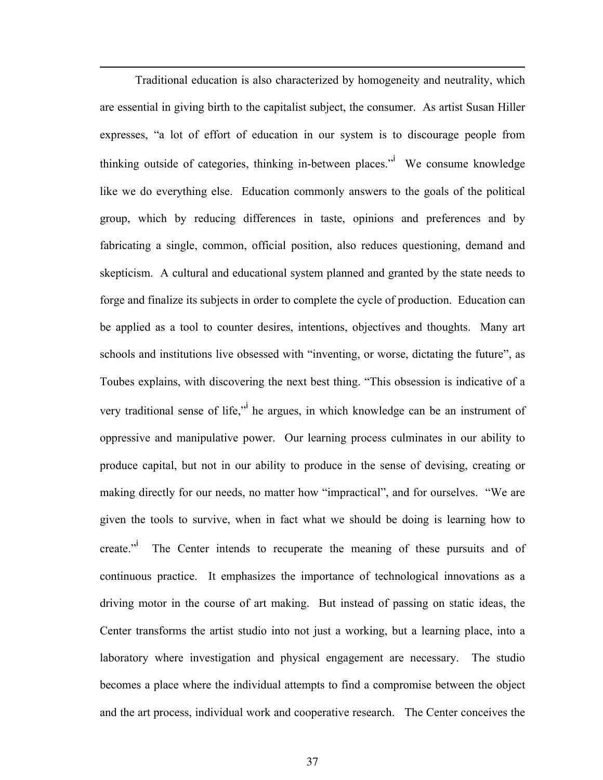Traditional education is also characterized by homogeneity and neutrality, which are essential in giving birth to the capitalist subject, the consumer. As artist Susan Hiller expresses, "a lot of effort of education in our system is to discourage people from thinking outside of categories, thinking in-between places." We consume knowledge like we do everything else. Education commonly answers to the goals of the political group, which by reducing differences in taste, opinions and preferences and by fabricating a single, common, official position, also reduces questioning, demand and skepticism. A cultural and educational system planned and granted by the state needs to forge and finalize its subjects in order to complete the cycle of production. Education can be applied as a tool to counter desires, intentions, objectives and thoughts. Many art schools and institutions live obsessed with "inventing, or worse, dictating the future", as Toubes explains, with discovering the next best thing. "This obsession is indicative of a very traditional sense of life," he argues, in which knowledge can be an instrument of oppressive and manipulative power. Our learning process culminates in our ability to produce capital, but not in our ability to produce in the sense of devising, creating or making directly for our needs, no matter how "impractical", and for ourselves. "We are given the tools to survive, when in fact what we should be doing is learning how to create." The Center intends to recuperate the meaning of these pursuits and of continuous practice. It emphasizes the importance of technological innovations as a driving motor in the course of art making. But instead of passing on static ideas, the Center transforms the artist studio into not just a working, but a learning place, into a laboratory where investigation and physical engagement are necessary. The studio becomes a place where the individual attempts to find a compromise between the object and the art process, individual work and cooperative research. The Center conceives the

l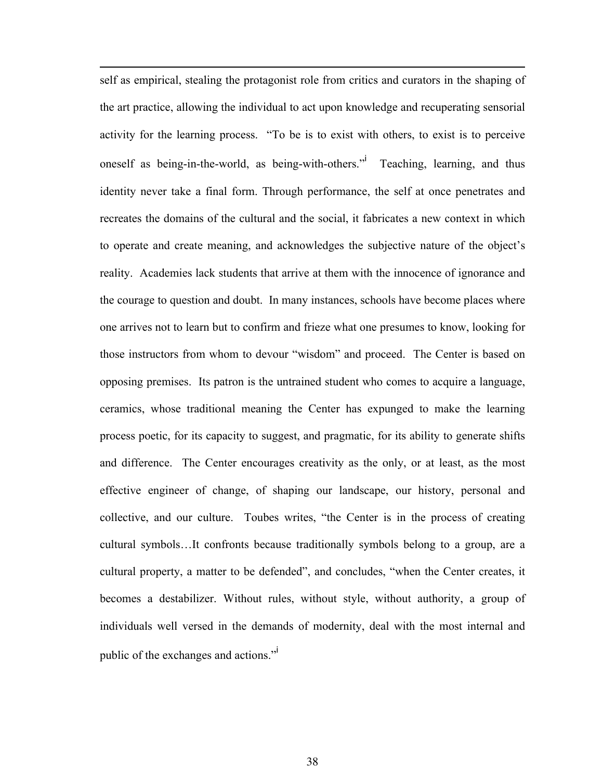self as empirical, stealing the protagonist role from critics and curators in the shaping of the art practice, allowing the individual to act upon knowledge and recuperating sensorial activity for the learning process. "To be is to exist with others, to exist is to perceive oneself as being-in-the-world, as being-with-others." Teaching, learning, and thus identity never take a final form. Through performance, the self at once penetrates and recreates the domains of the cultural and the social, it fabricates a new context in which to operate and create meaning, and acknowledges the subjective nature of the object's reality. Academies lack students that arrive at them with the innocence of ignorance and the courage to question and doubt. In many instances, schools have become places where one arrives not to learn but to confirm and frieze what one presumes to know, looking for those instructors from whom to devour "wisdom" and proceed. The Center is based on opposing premises. Its patron is the untrained student who comes to acquire a language, ceramics, whose traditional meaning the Center has expunged to make the learning process poetic, for its capacity to suggest, and pragmatic, for its ability to generate shifts and difference. The Center encourages creativity as the only, or at least, as the most effective engineer of change, of shaping our landscape, our history, personal and collective, and our culture. Toubes writes, "the Center is in the process of creating cultural symbols…It confronts because traditionally symbols belong to a group, are a cultural property, a matter to be defended", and concludes, "when the Center creates, it becomes a destabilizer. Without rules, without style, without authority, a group of individuals well versed in the demands of modernity, deal with the most internal and public of the exchanges and actions."<sup>i</sup>

l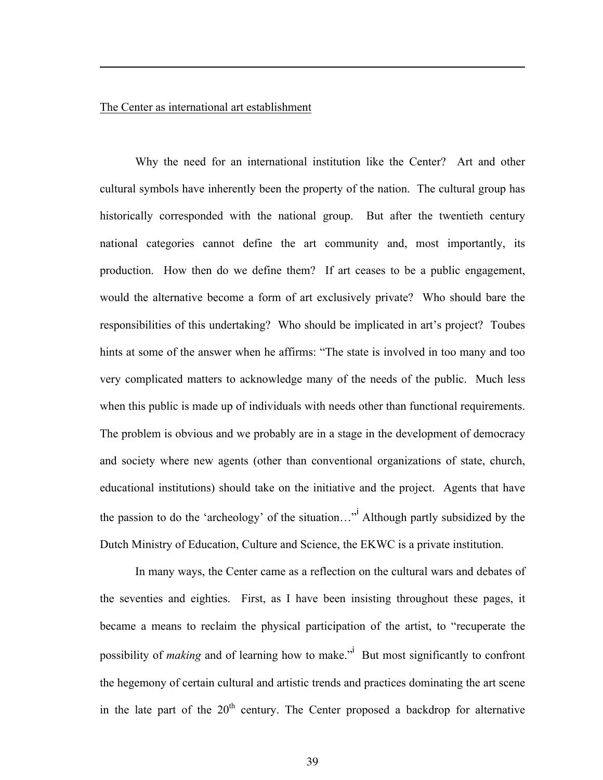#### The Center as international art establishment

l

Why the need for an international institution like the Center? Art and other cultural symbols have inherently been the property of the nation. The cultural group has historically corresponded with the national group. But after the twentieth century national categories cannot define the art community and, most importantly, its production. How then do we define them? If art ceases to be a public engagement, would the alternative become a form of art exclusively private? Who should bare the responsibilities of this undertaking? Who should be implicated in art's project? Toubes hints at some of the answer when he affirms: "The state is involved in too many and too very complicated matters to acknowledge many of the needs of the public. Much less when this public is made up of individuals with needs other than functional requirements. The problem is obvious and we probably are in a stage in the development of democracy and society where new agents (other than conventional organizations of state, church, educational institutions) should take on the initiative and the project. Agents that have the passion to do the 'archeology' of the situation..."<sup>i</sup> Although partly subsidized by the Dutch Ministry of Education, Culture and Science, the EKWC is a private institution.

In many ways, the Center came as a reflection on the cultural wars and debates of the seventies and eighties. First, as I have been insisting throughout these pages, it became a means to reclaim the physical participation of the artist, to "recuperate the possibility of *making* and of learning how to make.<sup>"</sup> But most significantly to confront the hegemony of certain cultural and artistic trends and practices dominating the art scene in the late part of the  $20<sup>th</sup>$  century. The Center proposed a backdrop for alternative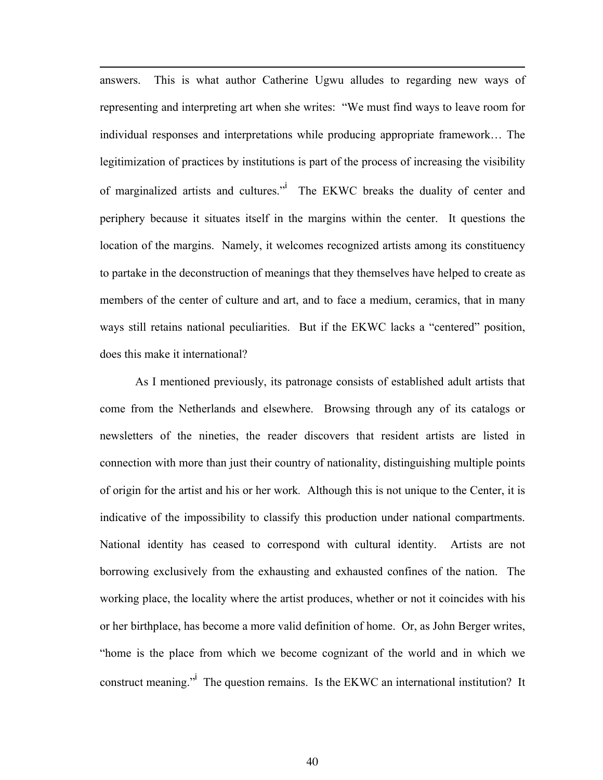answers. This is what author Catherine Ugwu alludes to regarding new ways of representing and interpreting art when she writes: "We must find ways to leave room for individual responses and interpretations while producing appropriate framework… The legitimization of practices by institutions is part of the process of increasing the visibility of marginalized artists and cultures." The EKWC breaks the duality of center and periphery because it situates itself in the margins within the center. It questions the location of the margins. Namely, it welcomes recognized artists among its constituency to partake in the deconstruction of meanings that they themselves have helped to create as members of the center of culture and art, and to face a medium, ceramics, that in many ways still retains national peculiarities. But if the EKWC lacks a "centered" position, does this make it international?

l

As I mentioned previously, its patronage consists of established adult artists that come from the Netherlands and elsewhere. Browsing through any of its catalogs or newsletters of the nineties, the reader discovers that resident artists are listed in connection with more than just their country of nationality, distinguishing multiple points of origin for the artist and his or her work*.* Although this is not unique to the Center, it is indicative of the impossibility to classify this production under national compartments. National identity has ceased to correspond with cultural identity. Artists are not borrowing exclusively from the exhausting and exhausted confines of the nation. The working place, the locality where the artist produces, whether or not it coincides with his or her birthplace, has become a more valid definition of home. Or, as John Berger writes, "home is the place from which we become cognizant of the world and in which we construct meaning."<sup>i</sup> The question remains. Is the EKWC an international institution? It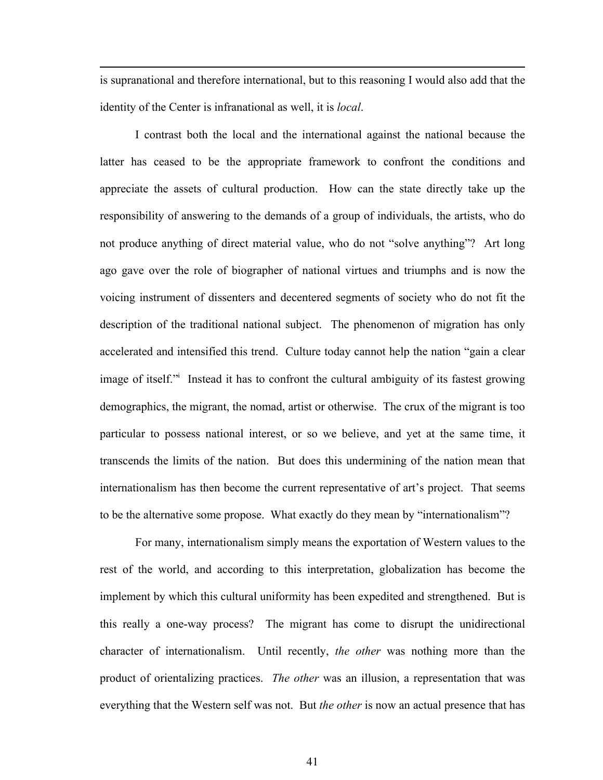is supranational and therefore international, but to this reasoning I would also add that the identity of the Center is infranational as well, it is *local*.

l

I contrast both the local and the international against the national because the latter has ceased to be the appropriate framework to confront the conditions and appreciate the assets of cultural production. How can the state directly take up the responsibility of answering to the demands of a group of individuals, the artists, who do not produce anything of direct material value, who do not "solve anything"? Art long ago gave over the role of biographer of national virtues and triumphs and is now the voicing instrument of dissenters and decentered segments of society who do not fit the description of the traditional national subject. The phenomenon of migration has only accelerated and intensified this trend. Culture today cannot help the nation "gain a clear image of itself." Instead it has to confront the cultural ambiguity of its fastest growing demographics, the migrant, the nomad, artist or otherwise. The crux of the migrant is too particular to possess national interest, or so we believe, and yet at the same time, it transcends the limits of the nation. But does this undermining of the nation mean that internationalism has then become the current representative of art's project. That seems to be the alternative some propose. What exactly do they mean by "internationalism"?

For many, internationalism simply means the exportation of Western values to the rest of the world, and according to this interpretation, globalization has become the implement by which this cultural uniformity has been expedited and strengthened. But is this really a one-way process? The migrant has come to disrupt the unidirectional character of internationalism. Until recently, *the other* was nothing more than the product of orientalizing practices. *The other* was an illusion, a representation that was everything that the Western self was not. But *the other* is now an actual presence that has

41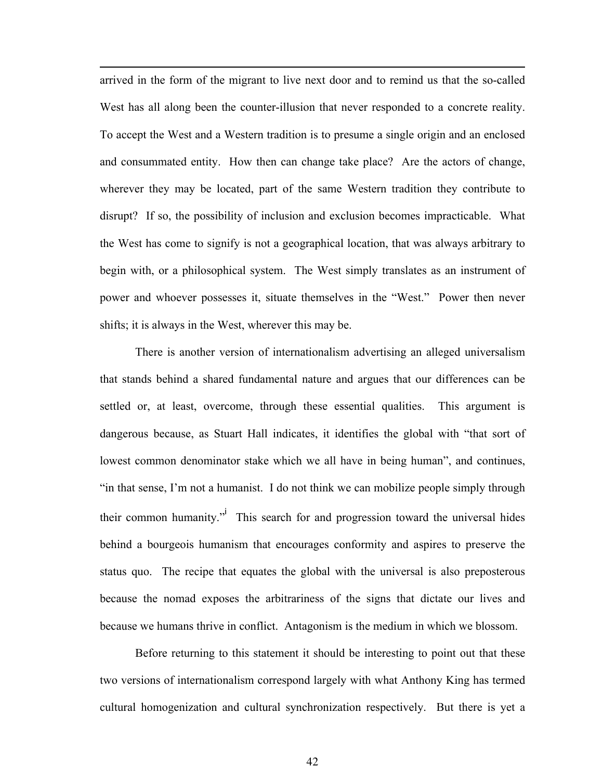arrived in the form of the migrant to live next door and to remind us that the so-called West has all along been the counter-illusion that never responded to a concrete reality. To accept the West and a Western tradition is to presume a single origin and an enclosed and consummated entity. How then can change take place? Are the actors of change, wherever they may be located, part of the same Western tradition they contribute to disrupt? If so, the possibility of inclusion and exclusion becomes impracticable. What the West has come to signify is not a geographical location, that was always arbitrary to begin with, or a philosophical system. The West simply translates as an instrument of power and whoever possesses it, situate themselves in the "West." Power then never shifts; it is always in the West, wherever this may be.

l

There is another version of internationalism advertising an alleged universalism that stands behind a shared fundamental nature and argues that our differences can be settled or, at least, overcome, through these essential qualities. This argument is dangerous because, as Stuart Hall indicates, it identifies the global with "that sort of lowest common denominator stake which we all have in being human", and continues, "in that sense, I'm not a humanist. I do not think we can mobilize people simply through their common humanity."<sup>i</sup> This search for and progression toward the universal hides behind a bourgeois humanism that encourages conformity and aspires to preserve the status quo. The recipe that equates the global with the universal is also preposterous because the nomad exposes the arbitrariness of the signs that dictate our lives and because we humans thrive in conflict. Antagonism is the medium in which we blossom.

Before returning to this statement it should be interesting to point out that these two versions of internationalism correspond largely with what Anthony King has termed cultural homogenization and cultural synchronization respectively. But there is yet a

42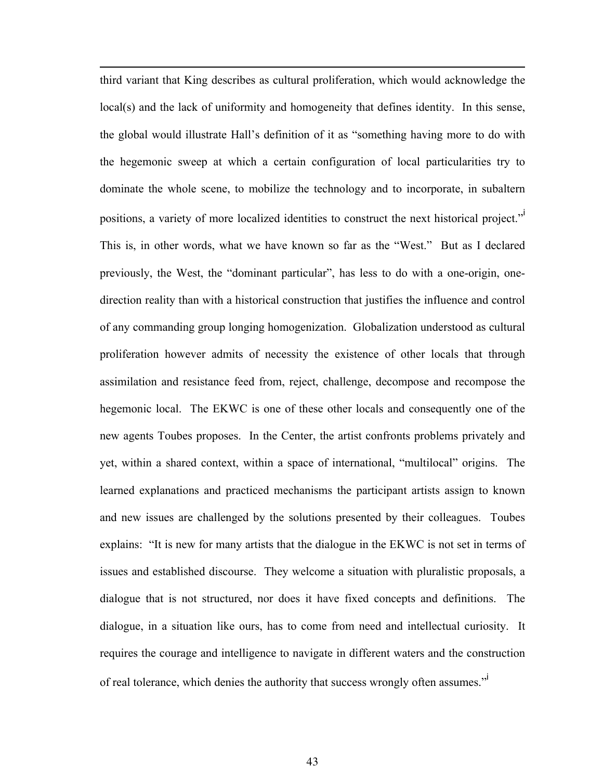third variant that King describes as cultural proliferation, which would acknowledge the local(s) and the lack of uniformity and homogeneity that defines identity. In this sense, the global would illustrate Hall's definition of it as "something having more to do with the hegemonic sweep at which a certain configuration of local particularities try to dominate the whole scene, to mobilize the technology and to incorporate, in subaltern positions, a variety of more localized identities to construct the next historical project." This is, in other words, what we have known so far as the "West." But as I declared previously, the West, the "dominant particular", has less to do with a one-origin, onedirection reality than with a historical construction that justifies the influence and control of any commanding group longing homogenization. Globalization understood as cultural proliferation however admits of necessity the existence of other locals that through assimilation and resistance feed from, reject, challenge, decompose and recompose the hegemonic local. The EKWC is one of these other locals and consequently one of the new agents Toubes proposes. In the Center, the artist confronts problems privately and yet, within a shared context, within a space of international, "multilocal" origins. The learned explanations and practiced mechanisms the participant artists assign to known and new issues are challenged by the solutions presented by their colleagues. Toubes explains: "It is new for many artists that the dialogue in the EKWC is not set in terms of issues and established discourse. They welcome a situation with pluralistic proposals, a dialogue that is not structured, nor does it have fixed concepts and definitions. The dialogue, in a situation like ours, has to come from need and intellectual curiosity. It requires the courage and intelligence to navigate in different waters and the construction of real tolerance, which denies the authority that success wrongly often assumes."<sup>i</sup>

l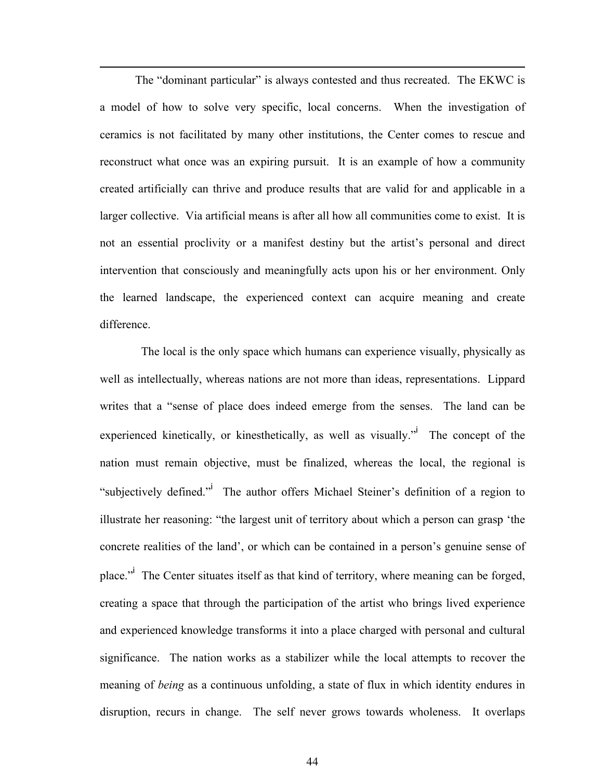The "dominant particular" is always contested and thus recreated. The EKWC is a model of how to solve very specific, local concerns. When the investigation of ceramics is not facilitated by many other institutions, the Center comes to rescue and reconstruct what once was an expiring pursuit. It is an example of how a community created artificially can thrive and produce results that are valid for and applicable in a larger collective. Via artificial means is after all how all communities come to exist. It is not an essential proclivity or a manifest destiny but the artist's personal and direct intervention that consciously and meaningfully acts upon his or her environment. Only the learned landscape, the experienced context can acquire meaning and create difference.

l

 The local is the only space which humans can experience visually, physically as well as intellectually, whereas nations are not more than ideas, representations. Lippard writes that a "sense of place does indeed emerge from the senses. The land can be experienced kinetically, or kinesthetically, as well as visually." The concept of the nation must remain objective, must be finalized, whereas the local, the regional is "subjectively defined."<sup>i</sup> The author offers Michael Steiner's definition of a region to illustrate her reasoning: "the largest unit of territory about which a person can grasp 'the concrete realities of the land', or which can be contained in a person's genuine sense of place."<sup>i</sup> The Center situates itself as that kind of territory, where meaning can be forged, creating a space that through the participation of the artist who brings lived experience and experienced knowledge transforms it into a place charged with personal and cultural significance. The nation works as a stabilizer while the local attempts to recover the meaning of *being* as a continuous unfolding, a state of flux in which identity endures in disruption, recurs in change. The self never grows towards wholeness. It overlaps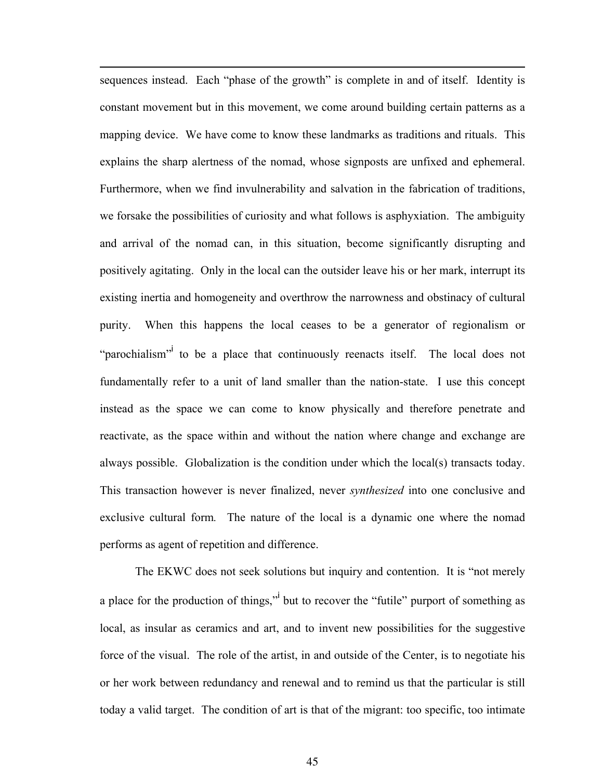sequences instead. Each "phase of the growth" is complete in and of itself. Identity is constant movement but in this movement, we come around building certain patterns as a mapping device. We have come to know these landmarks as traditions and rituals. This explains the sharp alertness of the nomad, whose signposts are unfixed and ephemeral. Furthermore, when we find invulnerability and salvation in the fabrication of traditions, we forsake the possibilities of curiosity and what follows is asphyxiation. The ambiguity and arrival of the nomad can, in this situation, become significantly disrupting and positively agitating. Only in the local can the outsider leave his or her mark, interrupt its existing inertia and homogeneity and overthrow the narrowness and obstinacy of cultural purity. When this happens the local ceases to be a generator of regionalism or "parochialism" to be a place that continuously reenacts itself. The local does not fundamentally refer to a unit of land smaller than the nation-state. I use this concept instead as the space we can come to know physically and therefore penetrate and reactivate, as the space within and without the nation where change and exchange are always possible. Globalization is the condition under which the local(s) transacts today. This transaction however is never finalized, never *synthesized* into one conclusive and exclusive cultural form*.* The nature of the local is a dynamic one where the nomad performs as agent of repetition and difference.

l

The EKWC does not seek solutions but inquiry and contention. It is "not merely a place for the production of things," but to recover the "futile" purport of something as local, as insular as ceramics and art, and to invent new possibilities for the suggestive force of the visual. The role of the artist, in and outside of the Center, is to negotiate his or her work between redundancy and renewal and to remind us that the particular is still today a valid target. The condition of art is that of the migrant: too specific, too intimate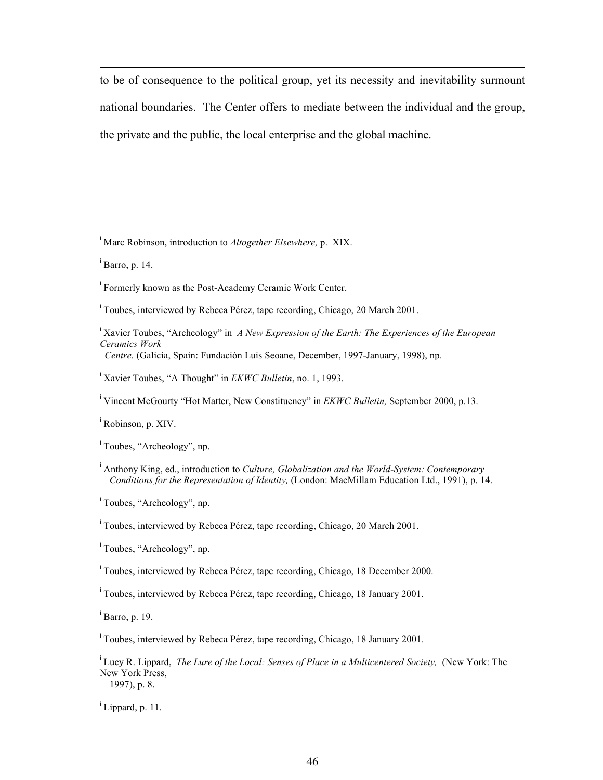to be of consequence to the political group, yet its necessity and inevitability surmount national boundaries. The Center offers to mediate between the individual and the group, the private and the public, the local enterprise and the global machine.

i Marc Robinson, introduction to *Altogether Elsewhere,* p. XIX.

i Barro, p. 14.

l

i Formerly known as the Post-Academy Ceramic Work Center.

i Toubes, interviewed by Rebeca Pérez, tape recording, Chicago, 20 March 2001.

<sup>i</sup> Xavier Toubes, "Archeology" in *A New Expression of the Earth: The Experiences of the European Ceramics Work* 

 *Centre.* (Galicia, Spain: Fundación Luis Seoane, December, 1997-January, 1998), np.

i Xavier Toubes, "A Thought" in *EKWC Bulletin*, no. 1, 1993.

i Vincent McGourty "Hot Matter, New Constituency" in *EKWC Bulletin,* September 2000, p.13.

i Robinson, p. XIV.

<sup>i</sup> Toubes, "Archeology", np.

i Anthony King, ed., introduction to *Culture, Globalization and the World-System: Contemporary Conditions for the Representation of Identity,* (London: MacMillam Education Ltd., 1991), p. 14.

<sup>i</sup> Toubes, "Archeology", np.

i Toubes, interviewed by Rebeca Pérez, tape recording, Chicago, 20 March 2001.

<sup>i</sup> Toubes, "Archeology", np.

<sup>i</sup> Toubes, interviewed by Rebeca Pérez, tape recording, Chicago, 18 December 2000.

i Toubes, interviewed by Rebeca Pérez, tape recording, Chicago, 18 January 2001.

i Barro, p. 19.

i Toubes, interviewed by Rebeca Pérez, tape recording, Chicago, 18 January 2001.

<sup>i</sup> Lucy R. Lippard, *The Lure of the Local: Senses of Place in a Multicentered Society,* (New York: The New York Press, 1997), p. 8.

i Lippard, p. 11.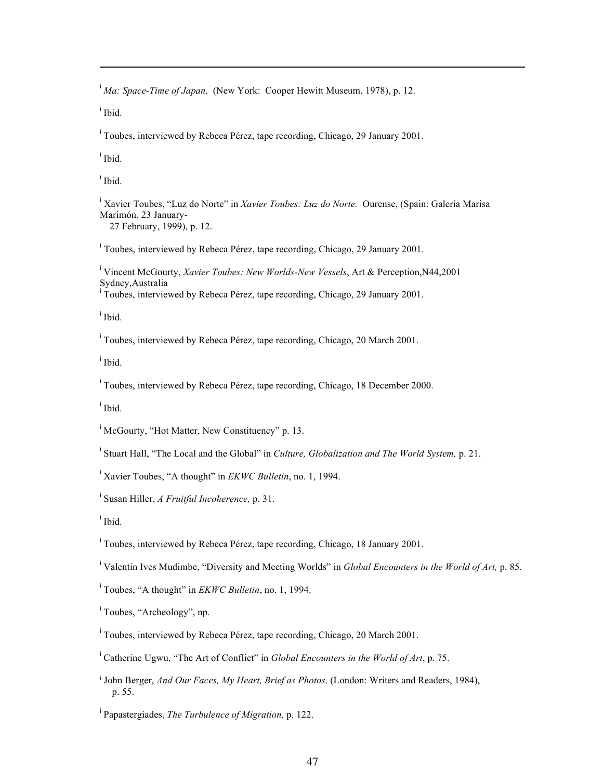i *Ma: Space-Time of Japan,* (New York: Cooper Hewitt Museum, 1978), p. 12.

i Ibid.

l

i Toubes, interviewed by Rebeca Pérez, tape recording, Chicago, 29 January 2001.

i Ibid.

i Ibid.

i Xavier Toubes, "Luz do Norte" in *Xavier Toubes: Luz do Norte.* Ourense, (Spain: Galería Marisa Marimón, 23 January- 27 February, 1999), p. 12.

i Toubes, interviewed by Rebeca Pérez, tape recording, Chicago, 29 January 2001.

i Vincent McGourty, *Xavier Toubes: New Worlds-New Vessels*, Art & Perception,N44,2001 Sydney,Australia i Toubes, interviewed by Rebeca Pérez, tape recording, Chicago, 29 January 2001.

i Ibid.

i Toubes, interviewed by Rebeca Pérez, tape recording, Chicago, 20 March 2001.

i Ibid.

i Toubes, interviewed by Rebeca Pérez, tape recording, Chicago, 18 December 2000.

i Ibid.

<sup>i</sup> McGourty, "Hot Matter, New Constituency" p. 13.

i Stuart Hall, "The Local and the Global" in *Culture, Globalization and The World System,* p. 21.

i Xavier Toubes, "A thought" in *EKWC Bulletin*, no. 1, 1994.

i Susan Hiller, *A Fruitful Incoherence,* p. 31.

i Ibid.

i Toubes, interviewed by Rebeca Pérez, tape recording, Chicago, 18 January 2001.

i Valentin Ives Mudimbe, "Diversity and Meeting Worlds" in *Global Encounters in the World of Art,* p. 85.

i Toubes, "A thought" in *EKWC Bulletin*, no. 1, 1994.

<sup>i</sup> Toubes, "Archeology", np.

i Toubes, interviewed by Rebeca Pérez, tape recording, Chicago, 20 March 2001.

<sup>i</sup> Catherine Ugwu, "The Art of Conflict" in *Global Encounters in the World of Art*, p. 75.

<sup>i</sup> John Berger, *And Our Faces, My Heart, Brief as Photos,* (London: Writers and Readers, 1984), p. 55.

i Papastergiades, *The Turbulence of Migration,* p. 122.